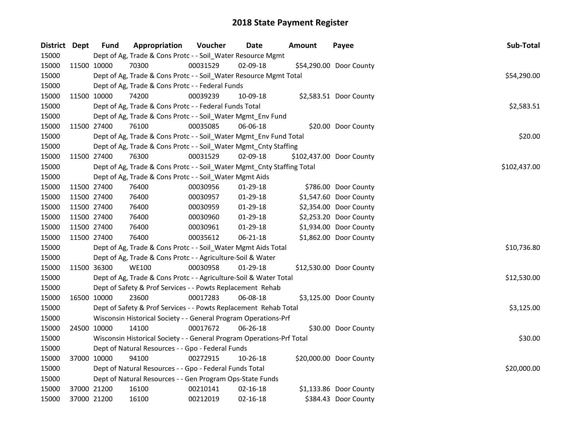| District Dept |             | <b>Fund</b> | Appropriation                                                          | Voucher  | Date           | <b>Amount</b> | Payee                    | Sub-Total    |
|---------------|-------------|-------------|------------------------------------------------------------------------|----------|----------------|---------------|--------------------------|--------------|
| 15000         |             |             | Dept of Ag, Trade & Cons Protc - - Soil_Water Resource Mgmt            |          |                |               |                          |              |
| 15000         | 11500 10000 |             | 70300                                                                  | 00031529 | 02-09-18       |               | \$54,290.00 Door County  |              |
| 15000         |             |             | Dept of Ag, Trade & Cons Protc - - Soil_Water Resource Mgmt Total      |          |                |               |                          | \$54,290.00  |
| 15000         |             |             | Dept of Ag, Trade & Cons Protc - - Federal Funds                       |          |                |               |                          |              |
| 15000         | 11500 10000 |             | 74200                                                                  | 00039239 | 10-09-18       |               | \$2,583.51 Door County   |              |
| 15000         |             |             | Dept of Ag, Trade & Cons Protc - - Federal Funds Total                 |          |                |               |                          | \$2,583.51   |
| 15000         |             |             | Dept of Ag, Trade & Cons Protc - - Soil_Water Mgmt_Env Fund            |          |                |               |                          |              |
| 15000         |             | 11500 27400 | 76100                                                                  | 00035085 | 06-06-18       |               | \$20.00 Door County      |              |
| 15000         |             |             | Dept of Ag, Trade & Cons Protc - - Soil_Water Mgmt_Env Fund Total      |          |                |               |                          | \$20.00      |
| 15000         |             |             | Dept of Ag, Trade & Cons Protc - - Soil_Water Mgmt_Cnty Staffing       |          |                |               |                          |              |
| 15000         | 11500 27400 |             | 76300                                                                  | 00031529 | 02-09-18       |               | \$102,437.00 Door County |              |
| 15000         |             |             | Dept of Ag, Trade & Cons Protc - - Soil_Water Mgmt_Cnty Staffing Total |          |                |               |                          | \$102,437.00 |
| 15000         |             |             | Dept of Ag, Trade & Cons Protc - - Soil_Water Mgmt Aids                |          |                |               |                          |              |
| 15000         | 11500 27400 |             | 76400                                                                  | 00030956 | 01-29-18       |               | \$786.00 Door County     |              |
| 15000         | 11500 27400 |             | 76400                                                                  | 00030957 | 01-29-18       |               | \$1,547.60 Door County   |              |
| 15000         | 11500 27400 |             | 76400                                                                  | 00030959 | 01-29-18       |               | \$2,354.00 Door County   |              |
| 15000         |             | 11500 27400 | 76400                                                                  | 00030960 | $01-29-18$     |               | \$2,253.20 Door County   |              |
| 15000         | 11500 27400 |             | 76400                                                                  | 00030961 | $01-29-18$     |               | \$1,934.00 Door County   |              |
| 15000         | 11500 27400 |             | 76400                                                                  | 00035612 | 06-21-18       |               | \$1,862.00 Door County   |              |
| 15000         |             |             | Dept of Ag, Trade & Cons Protc - - Soil_Water Mgmt Aids Total          |          |                |               |                          | \$10,736.80  |
| 15000         |             |             | Dept of Ag, Trade & Cons Protc - - Agriculture-Soil & Water            |          |                |               |                          |              |
| 15000         | 11500 36300 |             | <b>WE100</b>                                                           | 00030958 | 01-29-18       |               | \$12,530.00 Door County  |              |
| 15000         |             |             | Dept of Ag, Trade & Cons Protc - - Agriculture-Soil & Water Total      |          |                |               |                          | \$12,530.00  |
| 15000         |             |             | Dept of Safety & Prof Services - - Powts Replacement Rehab             |          |                |               |                          |              |
| 15000         | 16500 10000 |             | 23600                                                                  | 00017283 | 06-08-18       |               | \$3,125.00 Door County   |              |
| 15000         |             |             | Dept of Safety & Prof Services - - Powts Replacement Rehab Total       |          |                |               |                          | \$3,125.00   |
| 15000         |             |             | Wisconsin Historical Society - - General Program Operations-Prf        |          |                |               |                          |              |
| 15000         | 24500 10000 |             | 14100                                                                  | 00017672 | $06 - 26 - 18$ |               | \$30.00 Door County      |              |
| 15000         |             |             | Wisconsin Historical Society - - General Program Operations-Prf Total  |          |                |               |                          | \$30.00      |
| 15000         |             |             | Dept of Natural Resources - - Gpo - Federal Funds                      |          |                |               |                          |              |
| 15000         |             | 37000 10000 | 94100                                                                  | 00272915 | 10-26-18       |               | \$20,000.00 Door County  |              |
| 15000         |             |             | Dept of Natural Resources - - Gpo - Federal Funds Total                |          |                |               |                          | \$20,000.00  |
| 15000         |             |             | Dept of Natural Resources - - Gen Program Ops-State Funds              |          |                |               |                          |              |
| 15000         |             | 37000 21200 | 16100                                                                  | 00210141 | $02 - 16 - 18$ |               | \$1,133.86 Door County   |              |
| 15000         | 37000 21200 |             | 16100                                                                  | 00212019 | 02-16-18       |               | \$384.43 Door County     |              |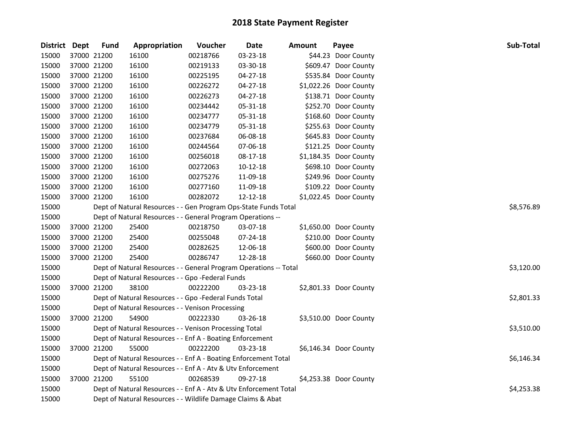| District Dept |             | <b>Fund</b> | Appropriation                                                     | Voucher  | Date       | <b>Amount</b> | Payee                  | Sub-Total  |
|---------------|-------------|-------------|-------------------------------------------------------------------|----------|------------|---------------|------------------------|------------|
| 15000         |             | 37000 21200 | 16100                                                             | 00218766 | 03-23-18   |               | \$44.23 Door County    |            |
| 15000         |             | 37000 21200 | 16100                                                             | 00219133 | 03-30-18   |               | \$609.47 Door County   |            |
| 15000         |             | 37000 21200 | 16100                                                             | 00225195 | 04-27-18   |               | \$535.84 Door County   |            |
| 15000         |             | 37000 21200 | 16100                                                             | 00226272 | 04-27-18   |               | \$1,022.26 Door County |            |
| 15000         | 37000 21200 |             | 16100                                                             | 00226273 | 04-27-18   |               | \$138.71 Door County   |            |
| 15000         |             | 37000 21200 | 16100                                                             | 00234442 | 05-31-18   |               | \$252.70 Door County   |            |
| 15000         |             | 37000 21200 | 16100                                                             | 00234777 | 05-31-18   |               | \$168.60 Door County   |            |
| 15000         | 37000 21200 |             | 16100                                                             | 00234779 | 05-31-18   |               | \$255.63 Door County   |            |
| 15000         | 37000 21200 |             | 16100                                                             | 00237684 | 06-08-18   |               | \$645.83 Door County   |            |
| 15000         | 37000 21200 |             | 16100                                                             | 00244564 | 07-06-18   |               | \$121.25 Door County   |            |
| 15000         |             | 37000 21200 | 16100                                                             | 00256018 | 08-17-18   |               | \$1,184.35 Door County |            |
| 15000         |             | 37000 21200 | 16100                                                             | 00272063 | $10-12-18$ |               | \$698.10 Door County   |            |
| 15000         |             | 37000 21200 | 16100                                                             | 00275276 | 11-09-18   |               | \$249.96 Door County   |            |
| 15000         |             | 37000 21200 | 16100                                                             | 00277160 | 11-09-18   |               | \$109.22 Door County   |            |
| 15000         |             | 37000 21200 | 16100                                                             | 00282072 | 12-12-18   |               | \$1,022.45 Door County |            |
| 15000         |             |             | Dept of Natural Resources - - Gen Program Ops-State Funds Total   |          | \$8,576.89 |               |                        |            |
| 15000         |             |             | Dept of Natural Resources - - General Program Operations --       |          |            |               |                        |            |
| 15000         |             | 37000 21200 | 25400                                                             | 00218750 | 03-07-18   |               | \$1,650.00 Door County |            |
| 15000         |             | 37000 21200 | 25400                                                             | 00255048 | 07-24-18   |               | \$210.00 Door County   |            |
| 15000         | 37000 21200 |             | 25400                                                             | 00282625 | 12-06-18   |               | \$600.00 Door County   |            |
| 15000         |             | 37000 21200 | 25400                                                             | 00286747 | 12-28-18   |               | \$660.00 Door County   |            |
| 15000         |             |             | Dept of Natural Resources - - General Program Operations -- Total |          |            |               |                        | \$3,120.00 |
| 15000         |             |             | Dept of Natural Resources - - Gpo -Federal Funds                  |          |            |               |                        |            |
| 15000         |             | 37000 21200 | 38100                                                             | 00222200 | 03-23-18   |               | \$2,801.33 Door County |            |
| 15000         |             |             | Dept of Natural Resources - - Gpo -Federal Funds Total            |          |            |               |                        | \$2,801.33 |
| 15000         |             |             | Dept of Natural Resources - - Venison Processing                  |          |            |               |                        |            |
| 15000         |             | 37000 21200 | 54900                                                             | 00222330 | 03-26-18   |               | \$3,510.00 Door County |            |
| 15000         |             |             | Dept of Natural Resources - - Venison Processing Total            |          |            |               |                        | \$3,510.00 |
| 15000         |             |             | Dept of Natural Resources - - Enf A - Boating Enforcement         |          |            |               |                        |            |
| 15000         |             | 37000 21200 | 55000                                                             | 00222200 | 03-23-18   |               | \$6,146.34 Door County |            |
| 15000         |             |             | Dept of Natural Resources - - Enf A - Boating Enforcement Total   |          |            |               |                        | \$6,146.34 |
| 15000         |             |             | Dept of Natural Resources - - Enf A - Atv & Utv Enforcement       |          |            |               |                        |            |
| 15000         |             | 37000 21200 | 55100                                                             | 00268539 | 09-27-18   |               | \$4,253.38 Door County |            |
| 15000         |             |             | Dept of Natural Resources - - Enf A - Atv & Utv Enforcement Total |          |            |               |                        | \$4,253.38 |
| 15000         |             |             | Dept of Natural Resources - - Wildlife Damage Claims & Abat       |          |            |               |                        |            |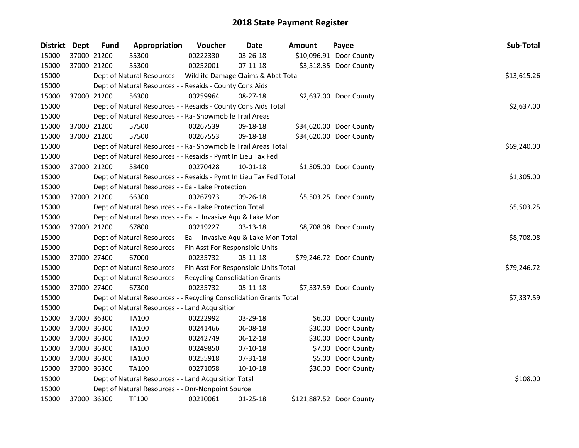| District Dept |             | <b>Fund</b> | Appropriation                                                      | Voucher  | <b>Date</b> | Amount | Payee                    | Sub-Total   |
|---------------|-------------|-------------|--------------------------------------------------------------------|----------|-------------|--------|--------------------------|-------------|
| 15000         | 37000 21200 |             | 55300                                                              | 00222330 | 03-26-18    |        | \$10,096.91 Door County  |             |
| 15000         | 37000 21200 |             | 55300                                                              | 00252001 | $07-11-18$  |        | \$3,518.35 Door County   |             |
| 15000         |             |             | Dept of Natural Resources - - Wildlife Damage Claims & Abat Total  |          |             |        |                          | \$13,615.26 |
| 15000         |             |             | Dept of Natural Resources - - Resaids - County Cons Aids           |          |             |        |                          |             |
| 15000         |             | 37000 21200 | 56300                                                              | 00259964 | 08-27-18    |        | \$2,637.00 Door County   |             |
| 15000         |             |             | Dept of Natural Resources - - Resaids - County Cons Aids Total     |          |             |        |                          | \$2,637.00  |
| 15000         |             |             | Dept of Natural Resources - - Ra- Snowmobile Trail Areas           |          |             |        |                          |             |
| 15000         |             | 37000 21200 | 57500                                                              | 00267539 | 09-18-18    |        | \$34,620.00 Door County  |             |
| 15000         | 37000 21200 |             | 57500                                                              | 00267553 | 09-18-18    |        | \$34,620.00 Door County  |             |
| 15000         |             |             | Dept of Natural Resources - - Ra- Snowmobile Trail Areas Total     |          |             |        |                          | \$69,240.00 |
| 15000         |             |             | Dept of Natural Resources - - Resaids - Pymt In Lieu Tax Fed       |          |             |        |                          |             |
| 15000         |             | 37000 21200 | 58400                                                              | 00270428 | 10-01-18    |        | \$1,305.00 Door County   |             |
| 15000         |             |             | Dept of Natural Resources - - Resaids - Pymt In Lieu Tax Fed Total |          |             |        |                          | \$1,305.00  |
| 15000         |             |             | Dept of Natural Resources - - Ea - Lake Protection                 |          |             |        |                          |             |
| 15000         |             | 37000 21200 | 66300                                                              | 00267973 | 09-26-18    |        | \$5,503.25 Door County   |             |
| 15000         |             |             | Dept of Natural Resources - - Ea - Lake Protection Total           |          |             |        |                          | \$5,503.25  |
| 15000         |             |             | Dept of Natural Resources - - Ea - Invasive Aqu & Lake Mon         |          |             |        |                          |             |
| 15000         |             | 37000 21200 | 67800                                                              | 00219227 | 03-13-18    |        | \$8,708.08 Door County   |             |
| 15000         |             |             | Dept of Natural Resources - - Ea - Invasive Aqu & Lake Mon Total   |          |             |        |                          | \$8,708.08  |
| 15000         |             |             | Dept of Natural Resources - - Fin Asst For Responsible Units       |          |             |        |                          |             |
| 15000         | 37000 27400 |             | 67000                                                              | 00235732 | 05-11-18    |        | \$79,246.72 Door County  |             |
| 15000         |             |             | Dept of Natural Resources - - Fin Asst For Responsible Units Total |          |             |        |                          | \$79,246.72 |
| 15000         |             |             | Dept of Natural Resources - - Recycling Consolidation Grants       |          |             |        |                          |             |
| 15000         |             | 37000 27400 | 67300                                                              | 00235732 | 05-11-18    |        | \$7,337.59 Door County   |             |
| 15000         |             |             | Dept of Natural Resources - - Recycling Consolidation Grants Total |          |             |        |                          | \$7,337.59  |
| 15000         |             |             | Dept of Natural Resources - - Land Acquisition                     |          |             |        |                          |             |
| 15000         | 37000 36300 |             | <b>TA100</b>                                                       | 00222992 | 03-29-18    |        | \$6.00 Door County       |             |
| 15000         |             | 37000 36300 | <b>TA100</b>                                                       | 00241466 | 06-08-18    |        | \$30.00 Door County      |             |
| 15000         |             | 37000 36300 | <b>TA100</b>                                                       | 00242749 | 06-12-18    |        | \$30.00 Door County      |             |
| 15000         |             | 37000 36300 | <b>TA100</b>                                                       | 00249850 | $07-10-18$  |        | \$7.00 Door County       |             |
| 15000         | 37000 36300 |             | <b>TA100</b>                                                       | 00255918 | 07-31-18    |        | \$5.00 Door County       |             |
| 15000         | 37000 36300 |             | <b>TA100</b>                                                       | 00271058 | 10-10-18    |        | \$30.00 Door County      |             |
| 15000         |             |             | Dept of Natural Resources - - Land Acquisition Total               |          |             |        |                          | \$108.00    |
| 15000         |             |             | Dept of Natural Resources - - Dnr-Nonpoint Source                  |          |             |        |                          |             |
| 15000         | 37000 36300 |             | TF100                                                              | 00210061 | 01-25-18    |        | \$121,887.52 Door County |             |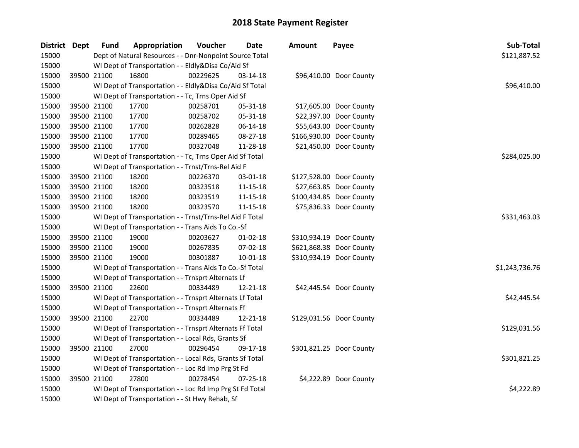| District Dept |             | <b>Fund</b> | Appropriation                                            | Voucher  | <b>Date</b>    | <b>Amount</b> | Payee                    | Sub-Total      |
|---------------|-------------|-------------|----------------------------------------------------------|----------|----------------|---------------|--------------------------|----------------|
| 15000         |             |             | Dept of Natural Resources - - Dnr-Nonpoint Source Total  |          |                |               |                          | \$121,887.52   |
| 15000         |             |             | WI Dept of Transportation - - Eldly&Disa Co/Aid Sf       |          |                |               |                          |                |
| 15000         | 39500 21100 |             | 16800                                                    | 00229625 | 03-14-18       |               | \$96,410.00 Door County  |                |
| 15000         |             |             | WI Dept of Transportation - - Eldly&Disa Co/Aid Sf Total |          |                |               |                          | \$96,410.00    |
| 15000         |             |             | WI Dept of Transportation - - Tc, Trns Oper Aid Sf       |          |                |               |                          |                |
| 15000         |             | 39500 21100 | 17700                                                    | 00258701 | 05-31-18       |               | \$17,605.00 Door County  |                |
| 15000         |             | 39500 21100 | 17700                                                    | 00258702 | 05-31-18       |               | \$22,397.00 Door County  |                |
| 15000         |             | 39500 21100 | 17700                                                    | 00262828 | 06-14-18       |               | \$55,643.00 Door County  |                |
| 15000         |             | 39500 21100 | 17700                                                    | 00289465 | 08-27-18       |               | \$166,930.00 Door County |                |
| 15000         |             | 39500 21100 | 17700                                                    | 00327048 | 11-28-18       |               | \$21,450.00 Door County  |                |
| 15000         |             |             | WI Dept of Transportation - - Tc, Trns Oper Aid Sf Total |          |                |               |                          | \$284,025.00   |
| 15000         |             |             | WI Dept of Transportation - - Trnst/Trns-Rel Aid F       |          |                |               |                          |                |
| 15000         |             | 39500 21100 | 18200                                                    | 00226370 | 03-01-18       |               | \$127,528.00 Door County |                |
| 15000         |             | 39500 21100 | 18200                                                    | 00323518 | 11-15-18       |               | \$27,663.85 Door County  |                |
| 15000         |             | 39500 21100 | 18200                                                    | 00323519 | 11-15-18       |               | \$100,434.85 Door County |                |
| 15000         |             | 39500 21100 | 18200                                                    | 00323570 | 11-15-18       |               | \$75,836.33 Door County  |                |
| 15000         |             |             | WI Dept of Transportation - - Trnst/Trns-Rel Aid F Total |          |                |               |                          | \$331,463.03   |
| 15000         |             |             | WI Dept of Transportation - - Trans Aids To Co.-Sf       |          |                |               |                          |                |
| 15000         |             | 39500 21100 | 19000                                                    | 00203627 | $01 - 02 - 18$ |               | \$310,934.19 Door County |                |
| 15000         |             | 39500 21100 | 19000                                                    | 00267835 | 07-02-18       |               | \$621,868.38 Door County |                |
| 15000         |             | 39500 21100 | 19000                                                    | 00301887 | $10 - 01 - 18$ |               | \$310,934.19 Door County |                |
| 15000         |             |             | WI Dept of Transportation - - Trans Aids To Co.-Sf Total |          |                |               |                          | \$1,243,736.76 |
| 15000         |             |             | WI Dept of Transportation - - Trnsprt Alternats Lf       |          |                |               |                          |                |
| 15000         |             | 39500 21100 | 22600                                                    | 00334489 | 12-21-18       |               | \$42,445.54 Door County  |                |
| 15000         |             |             | WI Dept of Transportation - - Trnsprt Alternats Lf Total |          |                |               |                          | \$42,445.54    |
| 15000         |             |             | WI Dept of Transportation - - Trnsprt Alternats Ff       |          |                |               |                          |                |
| 15000         |             | 39500 21100 | 22700                                                    | 00334489 | 12-21-18       |               | \$129,031.56 Door County |                |
| 15000         |             |             | WI Dept of Transportation - - Trnsprt Alternats Ff Total |          |                |               |                          | \$129,031.56   |
| 15000         |             |             | WI Dept of Transportation - - Local Rds, Grants Sf       |          |                |               |                          |                |
| 15000         |             | 39500 21100 | 27000                                                    | 00296454 | 09-17-18       |               | \$301,821.25 Door County |                |
| 15000         |             |             | WI Dept of Transportation - - Local Rds, Grants Sf Total |          |                |               |                          | \$301,821.25   |
| 15000         |             |             | WI Dept of Transportation - - Loc Rd Imp Prg St Fd       |          |                |               |                          |                |
| 15000         |             | 39500 21100 | 27800                                                    | 00278454 | 07-25-18       |               | \$4,222.89 Door County   |                |
| 15000         |             |             | WI Dept of Transportation - - Loc Rd Imp Prg St Fd Total |          |                |               |                          | \$4,222.89     |
| 15000         |             |             | WI Dept of Transportation - - St Hwy Rehab, Sf           |          |                |               |                          |                |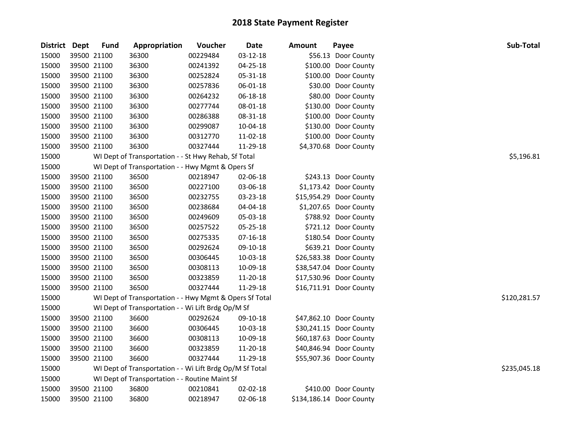| District Dept |             | <b>Fund</b> | Appropriation                                            | Voucher  | <b>Date</b> | <b>Amount</b> | Payee                    | Sub-Total    |
|---------------|-------------|-------------|----------------------------------------------------------|----------|-------------|---------------|--------------------------|--------------|
| 15000         |             | 39500 21100 | 36300                                                    | 00229484 | 03-12-18    |               | \$56.13 Door County      |              |
| 15000         |             | 39500 21100 | 36300                                                    | 00241392 | 04-25-18    |               | \$100.00 Door County     |              |
| 15000         |             | 39500 21100 | 36300                                                    | 00252824 | 05-31-18    |               | \$100.00 Door County     |              |
| 15000         |             | 39500 21100 | 36300                                                    | 00257836 | 06-01-18    |               | \$30.00 Door County      |              |
| 15000         |             | 39500 21100 | 36300                                                    | 00264232 | 06-18-18    |               | \$80.00 Door County      |              |
| 15000         |             | 39500 21100 | 36300                                                    | 00277744 | 08-01-18    |               | \$130.00 Door County     |              |
| 15000         |             | 39500 21100 | 36300                                                    | 00286388 | 08-31-18    |               | \$100.00 Door County     |              |
| 15000         |             | 39500 21100 | 36300                                                    | 00299087 | 10-04-18    |               | \$130.00 Door County     |              |
| 15000         |             | 39500 21100 | 36300                                                    | 00312770 | 11-02-18    |               | \$100.00 Door County     |              |
| 15000         |             | 39500 21100 | 36300                                                    | 00327444 | 11-29-18    |               | \$4,370.68 Door County   |              |
| 15000         |             |             | WI Dept of Transportation - - St Hwy Rehab, Sf Total     |          |             |               |                          | \$5,196.81   |
| 15000         |             |             | WI Dept of Transportation - - Hwy Mgmt & Opers Sf        |          |             |               |                          |              |
| 15000         |             | 39500 21100 | 36500                                                    | 00218947 | 02-06-18    |               | \$243.13 Door County     |              |
| 15000         |             | 39500 21100 | 36500                                                    | 00227100 | 03-06-18    |               | \$1,173.42 Door County   |              |
| 15000         |             | 39500 21100 | 36500                                                    | 00232755 | 03-23-18    |               | \$15,954.29 Door County  |              |
| 15000         |             | 39500 21100 | 36500                                                    | 00238684 | 04-04-18    |               | \$1,207.65 Door County   |              |
| 15000         |             | 39500 21100 | 36500                                                    | 00249609 | 05-03-18    |               | \$788.92 Door County     |              |
| 15000         |             | 39500 21100 | 36500                                                    | 00257522 | 05-25-18    |               | \$721.12 Door County     |              |
| 15000         |             | 39500 21100 | 36500                                                    | 00275335 | 07-16-18    |               | \$180.54 Door County     |              |
| 15000         | 39500 21100 |             | 36500                                                    | 00292624 | 09-10-18    |               | \$639.21 Door County     |              |
| 15000         |             | 39500 21100 | 36500                                                    | 00306445 | 10-03-18    |               | \$26,583.38 Door County  |              |
| 15000         |             | 39500 21100 | 36500                                                    | 00308113 | 10-09-18    |               | \$38,547.04 Door County  |              |
| 15000         |             | 39500 21100 | 36500                                                    | 00323859 | 11-20-18    |               | \$17,530.96 Door County  |              |
| 15000         |             | 39500 21100 | 36500                                                    | 00327444 | 11-29-18    |               | \$16,711.91 Door County  |              |
| 15000         |             |             | WI Dept of Transportation - - Hwy Mgmt & Opers Sf Total  |          |             |               |                          | \$120,281.57 |
| 15000         |             |             | WI Dept of Transportation - - Wi Lift Brdg Op/M Sf       |          |             |               |                          |              |
| 15000         |             | 39500 21100 | 36600                                                    | 00292624 | 09-10-18    |               | \$47,862.10 Door County  |              |
| 15000         |             | 39500 21100 | 36600                                                    | 00306445 | 10-03-18    |               | \$30,241.15 Door County  |              |
| 15000         |             | 39500 21100 | 36600                                                    | 00308113 | 10-09-18    |               | \$60,187.63 Door County  |              |
| 15000         |             | 39500 21100 | 36600                                                    | 00323859 | 11-20-18    |               | \$40,846.94 Door County  |              |
| 15000         |             | 39500 21100 | 36600                                                    | 00327444 | 11-29-18    |               | \$55,907.36 Door County  |              |
| 15000         |             |             | WI Dept of Transportation - - Wi Lift Brdg Op/M Sf Total |          |             |               |                          | \$235,045.18 |
| 15000         |             |             | WI Dept of Transportation - - Routine Maint Sf           |          |             |               |                          |              |
| 15000         |             | 39500 21100 | 36800                                                    | 00210841 | 02-02-18    |               | \$410.00 Door County     |              |
| 15000         | 39500 21100 |             | 36800                                                    | 00218947 | 02-06-18    |               | \$134,186.14 Door County |              |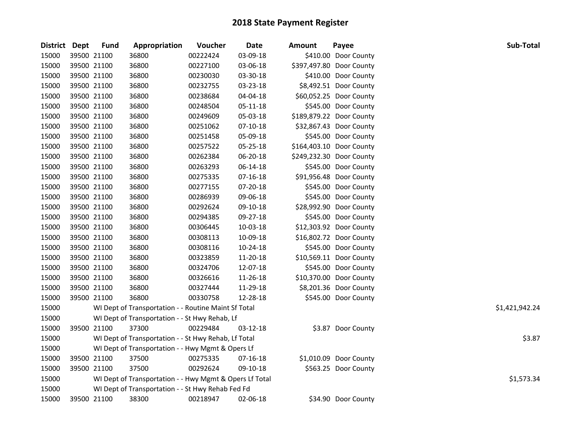| <b>District</b> | Dept        | <b>Fund</b> | Appropriation                                           | Voucher  | <b>Date</b>    | <b>Amount</b> | Payee                    | Sub-Total      |
|-----------------|-------------|-------------|---------------------------------------------------------|----------|----------------|---------------|--------------------------|----------------|
| 15000           | 39500 21100 |             | 36800                                                   | 00222424 | 03-09-18       |               | \$410.00 Door County     |                |
| 15000           |             | 39500 21100 | 36800                                                   | 00227100 | 03-06-18       |               | \$397,497.80 Door County |                |
| 15000           | 39500 21100 |             | 36800                                                   | 00230030 | 03-30-18       |               | \$410.00 Door County     |                |
| 15000           | 39500 21100 |             | 36800                                                   | 00232755 | 03-23-18       |               | \$8,492.51 Door County   |                |
| 15000           | 39500 21100 |             | 36800                                                   | 00238684 | 04-04-18       |               | \$60,052.25 Door County  |                |
| 15000           | 39500 21100 |             | 36800                                                   | 00248504 | 05-11-18       |               | \$545.00 Door County     |                |
| 15000           | 39500 21100 |             | 36800                                                   | 00249609 | 05-03-18       |               | \$189,879.22 Door County |                |
| 15000           | 39500 21100 |             | 36800                                                   | 00251062 | $07-10-18$     |               | \$32,867.43 Door County  |                |
| 15000           | 39500 21100 |             | 36800                                                   | 00251458 | 05-09-18       |               | \$545.00 Door County     |                |
| 15000           | 39500 21100 |             | 36800                                                   | 00257522 | 05-25-18       |               | \$164,403.10 Door County |                |
| 15000           | 39500 21100 |             | 36800                                                   | 00262384 | 06-20-18       |               | \$249,232.30 Door County |                |
| 15000           | 39500 21100 |             | 36800                                                   | 00263293 | 06-14-18       |               | \$545.00 Door County     |                |
| 15000           | 39500 21100 |             | 36800                                                   | 00275335 | 07-16-18       |               | \$91,956.48 Door County  |                |
| 15000           | 39500 21100 |             | 36800                                                   | 00277155 | 07-20-18       |               | \$545.00 Door County     |                |
| 15000           | 39500 21100 |             | 36800                                                   | 00286939 | 09-06-18       |               | \$545.00 Door County     |                |
| 15000           | 39500 21100 |             | 36800                                                   | 00292624 | 09-10-18       |               | \$28,992.90 Door County  |                |
| 15000           | 39500 21100 |             | 36800                                                   | 00294385 | 09-27-18       |               | \$545.00 Door County     |                |
| 15000           | 39500 21100 |             | 36800                                                   | 00306445 | 10-03-18       |               | \$12,303.92 Door County  |                |
| 15000           |             | 39500 21100 | 36800                                                   | 00308113 | 10-09-18       |               | \$16,802.72 Door County  |                |
| 15000           |             | 39500 21100 | 36800                                                   | 00308116 | 10-24-18       |               | \$545.00 Door County     |                |
| 15000           | 39500 21100 |             | 36800                                                   | 00323859 | 11-20-18       |               | \$10,569.11 Door County  |                |
| 15000           | 39500 21100 |             | 36800                                                   | 00324706 | 12-07-18       |               | \$545.00 Door County     |                |
| 15000           | 39500 21100 |             | 36800                                                   | 00326616 | 11-26-18       |               | \$10,370.00 Door County  |                |
| 15000           | 39500 21100 |             | 36800                                                   | 00327444 | 11-29-18       |               | \$8,201.36 Door County   |                |
| 15000           | 39500 21100 |             | 36800                                                   | 00330758 | 12-28-18       |               | \$545.00 Door County     |                |
| 15000           |             |             | WI Dept of Transportation - - Routine Maint Sf Total    |          |                |               |                          | \$1,421,942.24 |
| 15000           |             |             | WI Dept of Transportation - - St Hwy Rehab, Lf          |          |                |               |                          |                |
| 15000           | 39500 21100 |             | 37300                                                   | 00229484 | $03 - 12 - 18$ |               | \$3.87 Door County       |                |
| 15000           |             |             | WI Dept of Transportation - - St Hwy Rehab, Lf Total    |          |                |               |                          | \$3.87         |
| 15000           |             |             | WI Dept of Transportation - - Hwy Mgmt & Opers Lf       |          |                |               |                          |                |
| 15000           |             | 39500 21100 | 37500                                                   | 00275335 | 07-16-18       |               | \$1,010.09 Door County   |                |
| 15000           | 39500 21100 |             | 37500                                                   | 00292624 | 09-10-18       |               | \$563.25 Door County     |                |
| 15000           |             |             | WI Dept of Transportation - - Hwy Mgmt & Opers Lf Total |          |                |               |                          | \$1,573.34     |
| 15000           |             |             | WI Dept of Transportation - - St Hwy Rehab Fed Fd       |          |                |               |                          |                |
| 15000           |             | 39500 21100 | 38300                                                   | 00218947 | 02-06-18       |               | \$34.90 Door County      |                |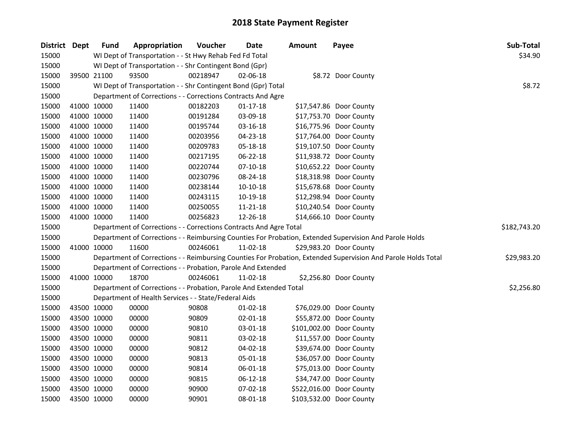| District Dept |             | <b>Fund</b> | Appropriation                                                      | Voucher  | Date           | <b>Amount</b> | Payee                                                                                                         | Sub-Total    |
|---------------|-------------|-------------|--------------------------------------------------------------------|----------|----------------|---------------|---------------------------------------------------------------------------------------------------------------|--------------|
| 15000         |             |             | WI Dept of Transportation - - St Hwy Rehab Fed Fd Total            |          |                |               |                                                                                                               | \$34.90      |
| 15000         |             |             | WI Dept of Transportation - - Shr Contingent Bond (Gpr)            |          |                |               |                                                                                                               |              |
| 15000         |             | 39500 21100 | 93500                                                              | 00218947 | $02 - 06 - 18$ |               | \$8.72 Door County                                                                                            |              |
| 15000         |             |             | WI Dept of Transportation - - Shr Contingent Bond (Gpr) Total      |          |                |               |                                                                                                               | \$8.72       |
| 15000         |             |             | Department of Corrections - - Corrections Contracts And Agre       |          |                |               |                                                                                                               |              |
| 15000         |             | 41000 10000 | 11400                                                              | 00182203 | $01 - 17 - 18$ |               | \$17,547.86 Door County                                                                                       |              |
| 15000         |             | 41000 10000 | 11400                                                              | 00191284 | 03-09-18       |               | \$17,753.70 Door County                                                                                       |              |
| 15000         |             | 41000 10000 | 11400                                                              | 00195744 | 03-16-18       |               | \$16,775.96 Door County                                                                                       |              |
| 15000         |             | 41000 10000 | 11400                                                              | 00203956 | 04-23-18       |               | \$17,764.00 Door County                                                                                       |              |
| 15000         |             | 41000 10000 | 11400                                                              | 00209783 | 05-18-18       |               | \$19,107.50 Door County                                                                                       |              |
| 15000         |             | 41000 10000 | 11400                                                              | 00217195 | 06-22-18       |               | \$11,938.72 Door County                                                                                       |              |
| 15000         |             | 41000 10000 | 11400                                                              | 00220744 | $07-10-18$     |               | \$10,652.22 Door County                                                                                       |              |
| 15000         |             | 41000 10000 | 11400                                                              | 00230796 | 08-24-18       |               | \$18,318.98 Door County                                                                                       |              |
| 15000         |             | 41000 10000 | 11400                                                              | 00238144 | 10-10-18       |               | \$15,678.68 Door County                                                                                       |              |
| 15000         |             | 41000 10000 | 11400                                                              | 00243115 | 10-19-18       |               | \$12,298.94 Door County                                                                                       |              |
| 15000         |             | 41000 10000 | 11400                                                              | 00250055 | $11 - 21 - 18$ |               | \$10,240.54 Door County                                                                                       |              |
| 15000         |             | 41000 10000 | 11400                                                              | 00256823 | 12-26-18       |               | \$14,666.10 Door County                                                                                       |              |
| 15000         |             |             | Department of Corrections - - Corrections Contracts And Agre Total |          |                |               |                                                                                                               | \$182,743.20 |
| 15000         |             |             |                                                                    |          |                |               | Department of Corrections - - Reimbursing Counties For Probation, Extended Supervision And Parole Holds       |              |
| 15000         |             | 41000 10000 | 11600                                                              | 00246061 | 11-02-18       |               | \$29,983.20 Door County                                                                                       |              |
| 15000         |             |             |                                                                    |          |                |               | Department of Corrections - - Reimbursing Counties For Probation, Extended Supervision And Parole Holds Total | \$29,983.20  |
| 15000         |             |             | Department of Corrections - - Probation, Parole And Extended       |          |                |               |                                                                                                               |              |
| 15000         |             | 41000 10000 | 18700                                                              | 00246061 | 11-02-18       |               | \$2,256.80 Door County                                                                                        |              |
| 15000         |             |             | Department of Corrections - - Probation, Parole And Extended Total |          |                |               |                                                                                                               | \$2,256.80   |
| 15000         |             |             | Department of Health Services - - State/Federal Aids               |          |                |               |                                                                                                               |              |
| 15000         |             | 43500 10000 | 00000                                                              | 90808    | 01-02-18       |               | \$76,029.00 Door County                                                                                       |              |
| 15000         |             | 43500 10000 | 00000                                                              | 90809    | 02-01-18       |               | \$55,872.00 Door County                                                                                       |              |
| 15000         |             | 43500 10000 | 00000                                                              | 90810    | 03-01-18       |               | \$101,002.00 Door County                                                                                      |              |
| 15000         |             | 43500 10000 | 00000                                                              | 90811    | 03-02-18       |               | \$11,557.00 Door County                                                                                       |              |
| 15000         |             | 43500 10000 | 00000                                                              | 90812    | 04-02-18       |               | \$39,674.00 Door County                                                                                       |              |
| 15000         |             | 43500 10000 | 00000                                                              | 90813    | 05-01-18       |               | \$36,057.00 Door County                                                                                       |              |
| 15000         |             | 43500 10000 | 00000                                                              | 90814    | 06-01-18       |               | \$75,013.00 Door County                                                                                       |              |
| 15000         |             | 43500 10000 | 00000                                                              | 90815    | 06-12-18       |               | \$34,747.00 Door County                                                                                       |              |
| 15000         |             | 43500 10000 | 00000                                                              | 90900    | 07-02-18       |               | \$522,016.00 Door County                                                                                      |              |
| 15000         | 43500 10000 |             | 00000                                                              | 90901    | 08-01-18       |               | \$103,532.00 Door County                                                                                      |              |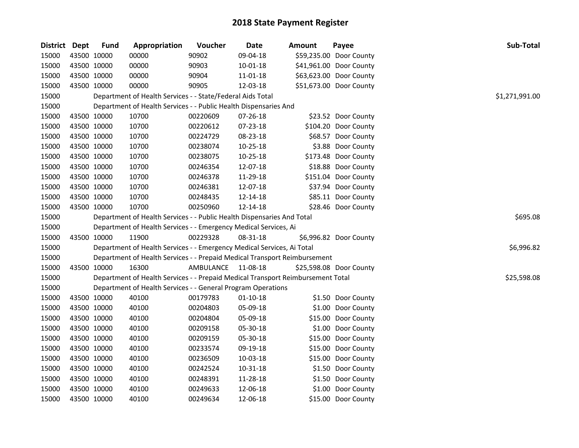| District Dept |             | <b>Fund</b> | Appropriation                                                                   | Voucher            | <b>Date</b>    | <b>Amount</b> | Payee                   | Sub-Total      |
|---------------|-------------|-------------|---------------------------------------------------------------------------------|--------------------|----------------|---------------|-------------------------|----------------|
| 15000         | 43500 10000 |             | 00000                                                                           | 90902              | 09-04-18       |               | \$59,235.00 Door County |                |
| 15000         | 43500 10000 |             | 00000                                                                           | 90903              | $10 - 01 - 18$ |               | \$41,961.00 Door County |                |
| 15000         | 43500 10000 |             | 00000                                                                           | 90904              | 11-01-18       |               | \$63,623.00 Door County |                |
| 15000         | 43500 10000 |             | 00000                                                                           | 90905              | 12-03-18       |               | \$51,673.00 Door County |                |
| 15000         |             |             | Department of Health Services - - State/Federal Aids Total                      |                    |                |               |                         | \$1,271,991.00 |
| 15000         |             |             | Department of Health Services - - Public Health Dispensaries And                |                    |                |               |                         |                |
| 15000         |             | 43500 10000 | 10700                                                                           | 00220609           | 07-26-18       |               | \$23.52 Door County     |                |
| 15000         |             | 43500 10000 | 10700                                                                           | 00220612           | 07-23-18       |               | \$104.20 Door County    |                |
| 15000         | 43500 10000 |             | 10700                                                                           | 00224729           | 08-23-18       |               | \$68.57 Door County     |                |
| 15000         | 43500 10000 |             | 10700                                                                           | 00238074           | 10-25-18       |               | \$3.88 Door County      |                |
| 15000         | 43500 10000 |             | 10700                                                                           | 00238075           | 10-25-18       |               | \$173.48 Door County    |                |
| 15000         | 43500 10000 |             | 10700                                                                           | 00246354           | 12-07-18       |               | \$18.88 Door County     |                |
| 15000         | 43500 10000 |             | 10700                                                                           | 00246378           | 11-29-18       |               | \$151.04 Door County    |                |
| 15000         |             | 43500 10000 | 10700                                                                           | 00246381           | 12-07-18       |               | \$37.94 Door County     |                |
| 15000         | 43500 10000 |             | 10700                                                                           | 00248435           | 12-14-18       |               | \$85.11 Door County     |                |
| 15000         | 43500 10000 |             | 10700                                                                           | 00250960           | 12-14-18       |               | \$28.46 Door County     |                |
| 15000         |             |             | Department of Health Services - - Public Health Dispensaries And Total          |                    |                |               |                         | \$695.08       |
| 15000         |             |             | Department of Health Services - - Emergency Medical Services, Ai                |                    |                |               |                         |                |
| 15000         | 43500 10000 |             | 11900                                                                           | 00229328           | 08-31-18       |               | \$6,996.82 Door County  |                |
| 15000         |             |             | Department of Health Services - - Emergency Medical Services, Ai Total          |                    |                |               |                         | \$6,996.82     |
| 15000         |             |             | Department of Health Services - - Prepaid Medical Transport Reimbursement       |                    |                |               |                         |                |
| 15000         | 43500 10000 |             | 16300                                                                           | AMBULANCE 11-08-18 |                |               | \$25,598.08 Door County |                |
| 15000         |             |             | Department of Health Services - - Prepaid Medical Transport Reimbursement Total |                    |                |               |                         | \$25,598.08    |
| 15000         |             |             | Department of Health Services - - General Program Operations                    |                    |                |               |                         |                |
| 15000         | 43500 10000 |             | 40100                                                                           | 00179783           | 01-10-18       |               | \$1.50 Door County      |                |
| 15000         |             | 43500 10000 | 40100                                                                           | 00204803           | 05-09-18       |               | \$1.00 Door County      |                |
| 15000         | 43500 10000 |             | 40100                                                                           | 00204804           | 05-09-18       |               | \$15.00 Door County     |                |
| 15000         | 43500 10000 |             | 40100                                                                           | 00209158           | 05-30-18       |               | \$1.00 Door County      |                |
| 15000         | 43500 10000 |             | 40100                                                                           | 00209159           | 05-30-18       |               | \$15.00 Door County     |                |
| 15000         | 43500 10000 |             | 40100                                                                           | 00233574           | 09-19-18       |               | \$15.00 Door County     |                |
| 15000         | 43500 10000 |             | 40100                                                                           | 00236509           | 10-03-18       |               | \$15.00 Door County     |                |
| 15000         | 43500 10000 |             | 40100                                                                           | 00242524           | 10-31-18       |               | \$1.50 Door County      |                |
| 15000         | 43500 10000 |             | 40100                                                                           | 00248391           | 11-28-18       |               | \$1.50 Door County      |                |
| 15000         | 43500 10000 |             | 40100                                                                           | 00249633           | 12-06-18       |               | \$1.00 Door County      |                |
| 15000         | 43500 10000 |             | 40100                                                                           | 00249634           | 12-06-18       |               | \$15.00 Door County     |                |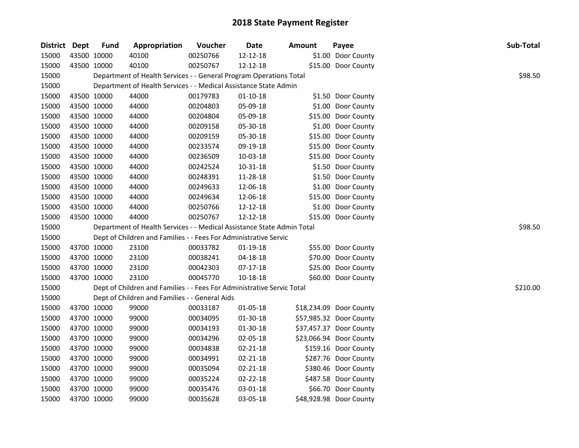| District Dept | <b>Fund</b> | Appropriation                                                          | Voucher  | Date           | <b>Amount</b> | Payee                   | Sub-Total |
|---------------|-------------|------------------------------------------------------------------------|----------|----------------|---------------|-------------------------|-----------|
| 15000         | 43500 10000 | 40100                                                                  | 00250766 | 12-12-18       |               | \$1.00 Door County      |           |
| 15000         | 43500 10000 | 40100                                                                  | 00250767 | 12-12-18       |               | \$15.00 Door County     |           |
| 15000         |             | Department of Health Services - - General Program Operations Total     |          |                |               |                         | \$98.50   |
| 15000         |             | Department of Health Services - - Medical Assistance State Admin       |          |                |               |                         |           |
| 15000         | 43500 10000 | 44000                                                                  | 00179783 | $01 - 10 - 18$ |               | \$1.50 Door County      |           |
| 15000         | 43500 10000 | 44000                                                                  | 00204803 | 05-09-18       |               | \$1.00 Door County      |           |
| 15000         | 43500 10000 | 44000                                                                  | 00204804 | 05-09-18       |               | \$15.00 Door County     |           |
| 15000         | 43500 10000 | 44000                                                                  | 00209158 | 05-30-18       |               | \$1.00 Door County      |           |
| 15000         | 43500 10000 | 44000                                                                  | 00209159 | 05-30-18       |               | \$15.00 Door County     |           |
| 15000         | 43500 10000 | 44000                                                                  | 00233574 | 09-19-18       |               | \$15.00 Door County     |           |
| 15000         | 43500 10000 | 44000                                                                  | 00236509 | 10-03-18       |               | \$15.00 Door County     |           |
| 15000         | 43500 10000 | 44000                                                                  | 00242524 | 10-31-18       |               | \$1.50 Door County      |           |
| 15000         | 43500 10000 | 44000                                                                  | 00248391 | 11-28-18       |               | \$1.50 Door County      |           |
| 15000         | 43500 10000 | 44000                                                                  | 00249633 | 12-06-18       |               | \$1.00 Door County      |           |
| 15000         | 43500 10000 | 44000                                                                  | 00249634 | 12-06-18       |               | \$15.00 Door County     |           |
| 15000         | 43500 10000 | 44000                                                                  | 00250766 | 12-12-18       |               | \$1.00 Door County      |           |
| 15000         | 43500 10000 | 44000                                                                  | 00250767 | 12-12-18       |               | \$15.00 Door County     |           |
| 15000         |             | Department of Health Services - - Medical Assistance State Admin Total |          |                |               |                         | \$98.50   |
| 15000         |             | Dept of Children and Families - - Fees For Administrative Servic       |          |                |               |                         |           |
| 15000         | 43700 10000 | 23100                                                                  | 00033782 | $01-19-18$     |               | \$55.00 Door County     |           |
| 15000         | 43700 10000 | 23100                                                                  | 00038241 | 04-18-18       |               | \$70.00 Door County     |           |
| 15000         | 43700 10000 | 23100                                                                  | 00042303 | $07 - 17 - 18$ |               | \$25.00 Door County     |           |
| 15000         | 43700 10000 | 23100                                                                  | 00045770 | $10 - 18 - 18$ |               | \$60.00 Door County     |           |
| 15000         |             | Dept of Children and Families - - Fees For Administrative Servic Total |          |                |               |                         | \$210.00  |
| 15000         |             | Dept of Children and Families - - General Aids                         |          |                |               |                         |           |
| 15000         | 43700 10000 | 99000                                                                  | 00033187 | 01-05-18       |               | \$18,234.09 Door County |           |
| 15000         | 43700 10000 | 99000                                                                  | 00034095 | 01-30-18       |               | \$57,985.32 Door County |           |
| 15000         | 43700 10000 | 99000                                                                  | 00034193 | 01-30-18       |               | \$37,457.37 Door County |           |
| 15000         | 43700 10000 | 99000                                                                  | 00034296 | 02-05-18       |               | \$23,066.94 Door County |           |
| 15000         | 43700 10000 | 99000                                                                  | 00034838 | $02 - 21 - 18$ |               | \$159.16 Door County    |           |
| 15000         | 43700 10000 | 99000                                                                  | 00034991 | 02-21-18       |               | \$287.76 Door County    |           |
| 15000         | 43700 10000 | 99000                                                                  | 00035094 | 02-21-18       |               | \$380.46 Door County    |           |
| 15000         | 43700 10000 | 99000                                                                  | 00035224 | 02-22-18       |               | \$487.58 Door County    |           |
| 15000         | 43700 10000 | 99000                                                                  | 00035476 | 03-01-18       |               | \$66.70 Door County     |           |
| 15000         | 43700 10000 | 99000                                                                  | 00035628 | 03-05-18       |               | \$48,928.98 Door County |           |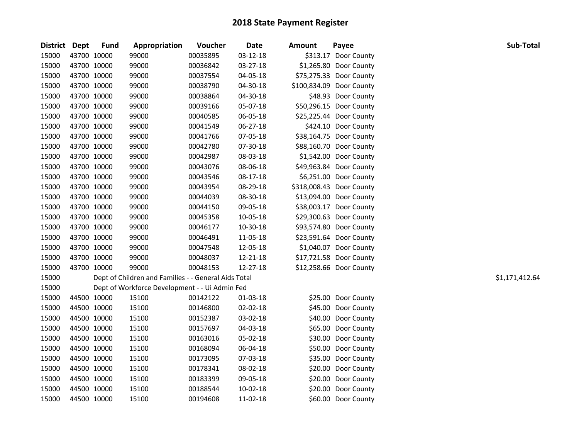| District Dept |             | <b>Fund</b> | Appropriation                                        | Voucher  | Date     | <b>Amount</b> | Payee                    | Sub-Total      |
|---------------|-------------|-------------|------------------------------------------------------|----------|----------|---------------|--------------------------|----------------|
| 15000         | 43700 10000 |             | 99000                                                | 00035895 | 03-12-18 |               | \$313.17 Door County     |                |
| 15000         | 43700 10000 |             | 99000                                                | 00036842 | 03-27-18 |               | \$1,265.80 Door County   |                |
| 15000         |             | 43700 10000 | 99000                                                | 00037554 | 04-05-18 |               | \$75,275.33 Door County  |                |
| 15000         |             | 43700 10000 | 99000                                                | 00038790 | 04-30-18 |               | \$100,834.09 Door County |                |
| 15000         |             | 43700 10000 | 99000                                                | 00038864 | 04-30-18 |               | \$48.93 Door County      |                |
| 15000         |             | 43700 10000 | 99000                                                | 00039166 | 05-07-18 |               | \$50,296.15 Door County  |                |
| 15000         |             | 43700 10000 | 99000                                                | 00040585 | 06-05-18 |               | \$25,225.44 Door County  |                |
| 15000         |             | 43700 10000 | 99000                                                | 00041549 | 06-27-18 |               | \$424.10 Door County     |                |
| 15000         |             | 43700 10000 | 99000                                                | 00041766 | 07-05-18 |               | \$38,164.75 Door County  |                |
| 15000         |             | 43700 10000 | 99000                                                | 00042780 | 07-30-18 |               | \$88,160.70 Door County  |                |
| 15000         |             | 43700 10000 | 99000                                                | 00042987 | 08-03-18 |               | \$1,542.00 Door County   |                |
| 15000         |             | 43700 10000 | 99000                                                | 00043076 | 08-06-18 |               | \$49,963.84 Door County  |                |
| 15000         |             | 43700 10000 | 99000                                                | 00043546 | 08-17-18 |               | \$6,251.00 Door County   |                |
| 15000         |             | 43700 10000 | 99000                                                | 00043954 | 08-29-18 |               | \$318,008.43 Door County |                |
| 15000         |             | 43700 10000 | 99000                                                | 00044039 | 08-30-18 |               | \$13,094.00 Door County  |                |
| 15000         |             | 43700 10000 | 99000                                                | 00044150 | 09-05-18 |               | \$38,003.17 Door County  |                |
| 15000         |             | 43700 10000 | 99000                                                | 00045358 | 10-05-18 |               | \$29,300.63 Door County  |                |
| 15000         |             | 43700 10000 | 99000                                                | 00046177 | 10-30-18 |               | \$93,574.80 Door County  |                |
| 15000         |             | 43700 10000 | 99000                                                | 00046491 | 11-05-18 |               | \$23,591.64 Door County  |                |
| 15000         |             | 43700 10000 | 99000                                                | 00047548 | 12-05-18 |               | \$1,040.07 Door County   |                |
| 15000         |             | 43700 10000 | 99000                                                | 00048037 | 12-21-18 |               | \$17,721.58 Door County  |                |
| 15000         |             | 43700 10000 | 99000                                                | 00048153 | 12-27-18 |               | \$12,258.66 Door County  |                |
| 15000         |             |             | Dept of Children and Families - - General Aids Total |          |          |               |                          | \$1,171,412.64 |
| 15000         |             |             | Dept of Workforce Development - - Ui Admin Fed       |          |          |               |                          |                |
| 15000         |             | 44500 10000 | 15100                                                | 00142122 | 01-03-18 |               | \$25.00 Door County      |                |
| 15000         |             | 44500 10000 | 15100                                                | 00146800 | 02-02-18 |               | \$45.00 Door County      |                |
| 15000         |             | 44500 10000 | 15100                                                | 00152387 | 03-02-18 |               | \$40.00 Door County      |                |
| 15000         |             | 44500 10000 | 15100                                                | 00157697 | 04-03-18 |               | \$65.00 Door County      |                |
| 15000         |             | 44500 10000 | 15100                                                | 00163016 | 05-02-18 |               | \$30.00 Door County      |                |
| 15000         |             | 44500 10000 | 15100                                                | 00168094 | 06-04-18 |               | \$50.00 Door County      |                |
| 15000         |             | 44500 10000 | 15100                                                | 00173095 | 07-03-18 |               | \$35.00 Door County      |                |
| 15000         |             | 44500 10000 | 15100                                                | 00178341 | 08-02-18 |               | \$20.00 Door County      |                |
| 15000         |             | 44500 10000 | 15100                                                | 00183399 | 09-05-18 |               | \$20.00 Door County      |                |
| 15000         |             | 44500 10000 | 15100                                                | 00188544 | 10-02-18 |               | \$20.00 Door County      |                |
| 15000         |             | 44500 10000 | 15100                                                | 00194608 | 11-02-18 |               | \$60.00 Door County      |                |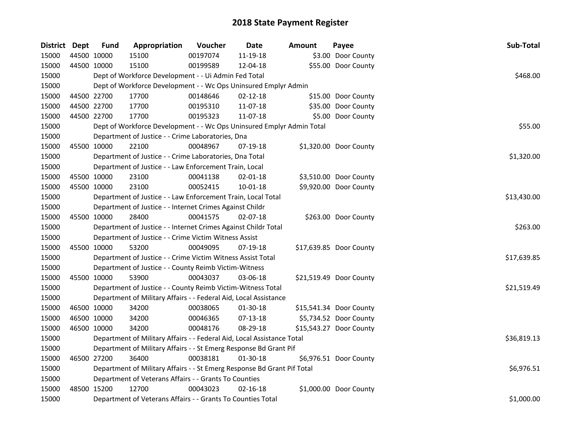| District Dept |             | <b>Fund</b> | Appropriation                                                           | Voucher  | Date           | <b>Amount</b> | Payee                   | Sub-Total   |
|---------------|-------------|-------------|-------------------------------------------------------------------------|----------|----------------|---------------|-------------------------|-------------|
| 15000         | 44500 10000 |             | 15100                                                                   | 00197074 | 11-19-18       |               | \$3.00 Door County      |             |
| 15000         | 44500 10000 |             | 15100                                                                   | 00199589 | 12-04-18       |               | \$55.00 Door County     |             |
| 15000         |             |             | Dept of Workforce Development - - Ui Admin Fed Total                    |          |                |               |                         | \$468.00    |
| 15000         |             |             | Dept of Workforce Development - - Wc Ops Uninsured Emplyr Admin         |          |                |               |                         |             |
| 15000         | 44500 22700 |             | 17700                                                                   | 00148646 | $02 - 12 - 18$ |               | \$15.00 Door County     |             |
| 15000         | 44500 22700 |             | 17700                                                                   | 00195310 | 11-07-18       |               | \$35.00 Door County     |             |
| 15000         | 44500 22700 |             | 17700                                                                   | 00195323 | 11-07-18       |               | \$5.00 Door County      |             |
| 15000         |             |             | Dept of Workforce Development - - Wc Ops Uninsured Emplyr Admin Total   |          |                |               |                         | \$55.00     |
| 15000         |             |             | Department of Justice - - Crime Laboratories, Dna                       |          |                |               |                         |             |
| 15000         | 45500 10000 |             | 22100                                                                   | 00048967 | 07-19-18       |               | \$1,320.00 Door County  |             |
| 15000         |             |             | Department of Justice - - Crime Laboratories, Dna Total                 |          |                |               |                         | \$1,320.00  |
| 15000         |             |             | Department of Justice - - Law Enforcement Train, Local                  |          |                |               |                         |             |
| 15000         | 45500 10000 |             | 23100                                                                   | 00041138 | 02-01-18       |               | \$3,510.00 Door County  |             |
| 15000         |             | 45500 10000 | 23100                                                                   | 00052415 | $10 - 01 - 18$ |               | \$9,920.00 Door County  |             |
| 15000         |             |             | Department of Justice - - Law Enforcement Train, Local Total            |          |                |               |                         | \$13,430.00 |
| 15000         |             |             | Department of Justice - - Internet Crimes Against Childr                |          |                |               |                         |             |
| 15000         |             | 45500 10000 | 28400                                                                   | 00041575 | 02-07-18       |               | \$263.00 Door County    |             |
| 15000         |             |             | Department of Justice - - Internet Crimes Against Childr Total          |          |                |               |                         | \$263.00    |
| 15000         |             |             | Department of Justice - - Crime Victim Witness Assist                   |          |                |               |                         |             |
| 15000         |             | 45500 10000 | 53200                                                                   | 00049095 | 07-19-18       |               | \$17,639.85 Door County |             |
| 15000         |             |             | Department of Justice - - Crime Victim Witness Assist Total             |          |                |               |                         | \$17,639.85 |
| 15000         |             |             | Department of Justice - - County Reimb Victim-Witness                   |          |                |               |                         |             |
| 15000         | 45500 10000 |             | 53900                                                                   | 00043037 | 03-06-18       |               | \$21,519.49 Door County |             |
| 15000         |             |             | Department of Justice - - County Reimb Victim-Witness Total             |          |                |               |                         | \$21,519.49 |
| 15000         |             |             | Department of Military Affairs - - Federal Aid, Local Assistance        |          |                |               |                         |             |
| 15000         | 46500 10000 |             | 34200                                                                   | 00038065 | 01-30-18       |               | \$15,541.34 Door County |             |
| 15000         | 46500 10000 |             | 34200                                                                   | 00046365 | 07-13-18       |               | \$5,734.52 Door County  |             |
| 15000         |             | 46500 10000 | 34200                                                                   | 00048176 | 08-29-18       |               | \$15,543.27 Door County |             |
| 15000         |             |             | Department of Military Affairs - - Federal Aid, Local Assistance Total  |          |                |               |                         | \$36,819.13 |
| 15000         |             |             | Department of Military Affairs - - St Emerg Response Bd Grant Pif       |          |                |               |                         |             |
| 15000         |             | 46500 27200 | 36400                                                                   | 00038181 | 01-30-18       |               | \$6,976.51 Door County  |             |
| 15000         |             |             | Department of Military Affairs - - St Emerg Response Bd Grant Pif Total |          |                |               |                         | \$6,976.51  |
| 15000         |             |             | Department of Veterans Affairs - - Grants To Counties                   |          |                |               |                         |             |
| 15000         | 48500 15200 |             | 12700                                                                   | 00043023 | $02 - 16 - 18$ |               | \$1,000.00 Door County  |             |
| 15000         |             |             | Department of Veterans Affairs - - Grants To Counties Total             |          |                |               |                         | \$1,000.00  |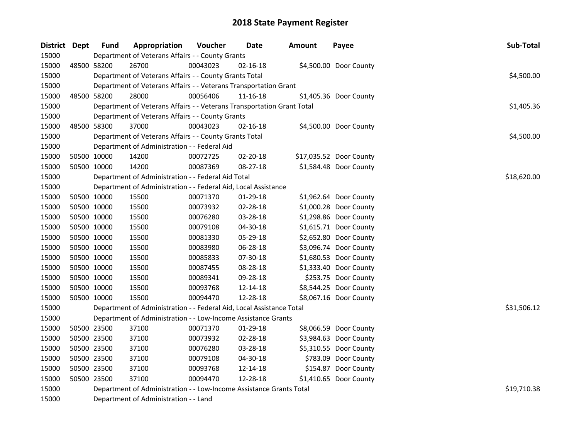| District Dept | <b>Fund</b> | Appropriation                                                          | Voucher  | Date           | <b>Amount</b> | Payee                   | Sub-Total   |
|---------------|-------------|------------------------------------------------------------------------|----------|----------------|---------------|-------------------------|-------------|
| 15000         |             | Department of Veterans Affairs - - County Grants                       |          |                |               |                         |             |
| 15000         | 48500 58200 | 26700                                                                  | 00043023 | 02-16-18       |               | \$4,500.00 Door County  |             |
| 15000         |             | Department of Veterans Affairs - - County Grants Total                 |          |                |               |                         | \$4,500.00  |
| 15000         |             | Department of Veterans Affairs - - Veterans Transportation Grant       |          |                |               |                         |             |
| 15000         | 48500 58200 | 28000                                                                  | 00056406 | $11 - 16 - 18$ |               | \$1,405.36 Door County  |             |
| 15000         |             | Department of Veterans Affairs - - Veterans Transportation Grant Total |          |                |               |                         | \$1,405.36  |
| 15000         |             | Department of Veterans Affairs - - County Grants                       |          |                |               |                         |             |
| 15000         | 48500 58300 | 37000                                                                  | 00043023 | 02-16-18       |               | \$4,500.00 Door County  |             |
| 15000         |             | Department of Veterans Affairs - - County Grants Total                 |          |                |               |                         | \$4,500.00  |
| 15000         |             | Department of Administration - - Federal Aid                           |          |                |               |                         |             |
| 15000         | 50500 10000 | 14200                                                                  | 00072725 | 02-20-18       |               | \$17,035.52 Door County |             |
| 15000         | 50500 10000 | 14200                                                                  | 00087369 | 08-27-18       |               | \$1,584.48 Door County  |             |
| 15000         |             | Department of Administration - - Federal Aid Total                     |          |                |               |                         | \$18,620.00 |
| 15000         |             | Department of Administration - - Federal Aid, Local Assistance         |          |                |               |                         |             |
| 15000         | 50500 10000 | 15500                                                                  | 00071370 | 01-29-18       |               | \$1,962.64 Door County  |             |
| 15000         | 50500 10000 | 15500                                                                  | 00073932 | 02-28-18       |               | \$1,000.28 Door County  |             |
| 15000         | 50500 10000 | 15500                                                                  | 00076280 | 03-28-18       |               | \$1,298.86 Door County  |             |
| 15000         | 50500 10000 | 15500                                                                  | 00079108 | 04-30-18       |               | \$1,615.71 Door County  |             |
| 15000         | 50500 10000 | 15500                                                                  | 00081330 | 05-29-18       |               | \$2,652.80 Door County  |             |
| 15000         | 50500 10000 | 15500                                                                  | 00083980 | 06-28-18       |               | \$3,096.74 Door County  |             |
| 15000         | 50500 10000 | 15500                                                                  | 00085833 | 07-30-18       |               | \$1,680.53 Door County  |             |
| 15000         | 50500 10000 | 15500                                                                  | 00087455 | 08-28-18       |               | \$1,333.40 Door County  |             |
| 15000         | 50500 10000 | 15500                                                                  | 00089341 | 09-28-18       |               | \$253.75 Door County    |             |
| 15000         | 50500 10000 | 15500                                                                  | 00093768 | 12-14-18       |               | \$8,544.25 Door County  |             |
| 15000         | 50500 10000 | 15500                                                                  | 00094470 | 12-28-18       |               | \$8,067.16 Door County  |             |
| 15000         |             | Department of Administration - - Federal Aid, Local Assistance Total   |          |                |               |                         | \$31,506.12 |
| 15000         |             | Department of Administration - - Low-Income Assistance Grants          |          |                |               |                         |             |
| 15000         | 50500 23500 | 37100                                                                  | 00071370 | 01-29-18       |               | \$8,066.59 Door County  |             |
| 15000         | 50500 23500 | 37100                                                                  | 00073932 | 02-28-18       |               | \$3,984.63 Door County  |             |
| 15000         | 50500 23500 | 37100                                                                  | 00076280 | 03-28-18       |               | \$5,310.55 Door County  |             |
| 15000         | 50500 23500 | 37100                                                                  | 00079108 | 04-30-18       |               | \$783.09 Door County    |             |
| 15000         | 50500 23500 | 37100                                                                  | 00093768 | 12-14-18       |               | \$154.87 Door County    |             |
| 15000         | 50500 23500 | 37100                                                                  | 00094470 | 12-28-18       |               | \$1,410.65 Door County  |             |
| 15000         |             | Department of Administration - - Low-Income Assistance Grants Total    |          |                |               |                         | \$19,710.38 |
| 15000         |             | Department of Administration - - Land                                  |          |                |               |                         |             |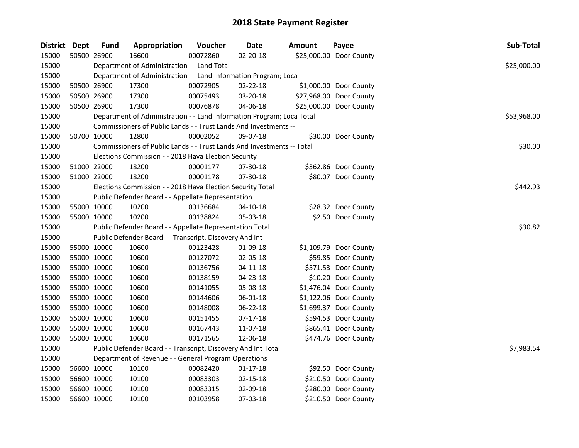| District Dept |             | Fund        | Appropriation                                                          | Voucher  | <b>Date</b>    | <b>Amount</b> | Payee                   | Sub-Total   |
|---------------|-------------|-------------|------------------------------------------------------------------------|----------|----------------|---------------|-------------------------|-------------|
| 15000         | 50500 26900 |             | 16600                                                                  | 00072860 | 02-20-18       |               | \$25,000.00 Door County |             |
| 15000         |             |             | Department of Administration - - Land Total                            |          |                |               |                         | \$25,000.00 |
| 15000         |             |             | Department of Administration - - Land Information Program; Loca        |          |                |               |                         |             |
| 15000         |             | 50500 26900 | 17300                                                                  | 00072905 | $02 - 22 - 18$ |               | \$1,000.00 Door County  |             |
| 15000         | 50500 26900 |             | 17300                                                                  | 00075493 | 03-20-18       |               | \$27,968.00 Door County |             |
| 15000         | 50500 26900 |             | 17300                                                                  | 00076878 | 04-06-18       |               | \$25,000.00 Door County |             |
| 15000         |             |             | Department of Administration - - Land Information Program; Loca Total  |          |                |               |                         | \$53,968.00 |
| 15000         |             |             | Commissioners of Public Lands - - Trust Lands And Investments --       |          |                |               |                         |             |
| 15000         | 50700 10000 |             | 12800                                                                  | 00002052 | 09-07-18       |               | \$30.00 Door County     |             |
| 15000         |             |             | Commissioners of Public Lands - - Trust Lands And Investments -- Total |          |                |               |                         | \$30.00     |
| 15000         |             |             | Elections Commission - - 2018 Hava Election Security                   |          |                |               |                         |             |
| 15000         | 51000 22000 |             | 18200                                                                  | 00001177 | 07-30-18       |               | \$362.86 Door County    |             |
| 15000         | 51000 22000 |             | 18200                                                                  | 00001178 | 07-30-18       |               | \$80.07 Door County     |             |
| 15000         |             |             | Elections Commission - - 2018 Hava Election Security Total             |          |                |               |                         | \$442.93    |
| 15000         |             |             | Public Defender Board - - Appellate Representation                     |          |                |               |                         |             |
| 15000         | 55000 10000 |             | 10200                                                                  | 00136684 | 04-10-18       |               | \$28.32 Door County     |             |
| 15000         | 55000 10000 |             | 10200                                                                  | 00138824 | 05-03-18       |               | \$2.50 Door County      |             |
| 15000         |             |             | Public Defender Board - - Appellate Representation Total               | \$30.82  |                |               |                         |             |
| 15000         |             |             | Public Defender Board - - Transcript, Discovery And Int                |          |                |               |                         |             |
| 15000         | 55000 10000 |             | 10600                                                                  | 00123428 | 01-09-18       |               | \$1,109.79 Door County  |             |
| 15000         | 55000 10000 |             | 10600                                                                  | 00127072 | 02-05-18       |               | \$59.85 Door County     |             |
| 15000         | 55000 10000 |             | 10600                                                                  | 00136756 | $04 - 11 - 18$ |               | \$571.53 Door County    |             |
| 15000         | 55000 10000 |             | 10600                                                                  | 00138159 | 04-23-18       |               | \$10.20 Door County     |             |
| 15000         | 55000 10000 |             | 10600                                                                  | 00141055 | 05-08-18       |               | \$1,476.04 Door County  |             |
| 15000         | 55000 10000 |             | 10600                                                                  | 00144606 | 06-01-18       |               | \$1,122.06 Door County  |             |
| 15000         | 55000 10000 |             | 10600                                                                  | 00148008 | 06-22-18       |               | \$1,699.37 Door County  |             |
| 15000         | 55000 10000 |             | 10600                                                                  | 00151455 | 07-17-18       |               | \$594.53 Door County    |             |
| 15000         | 55000 10000 |             | 10600                                                                  | 00167443 | 11-07-18       |               | \$865.41 Door County    |             |
| 15000         | 55000 10000 |             | 10600                                                                  | 00171565 | 12-06-18       |               | \$474.76 Door County    |             |
| 15000         |             |             | Public Defender Board - - Transcript, Discovery And Int Total          |          |                |               |                         | \$7,983.54  |
| 15000         |             |             | Department of Revenue - - General Program Operations                   |          |                |               |                         |             |
| 15000         | 56600 10000 |             | 10100                                                                  | 00082420 | $01 - 17 - 18$ |               | \$92.50 Door County     |             |
| 15000         | 56600 10000 |             | 10100                                                                  | 00083303 | 02-15-18       |               | \$210.50 Door County    |             |
| 15000         | 56600 10000 |             | 10100                                                                  | 00083315 | 02-09-18       |               | \$280.00 Door County    |             |
| 15000         | 56600 10000 |             | 10100                                                                  | 00103958 | 07-03-18       |               | \$210.50 Door County    |             |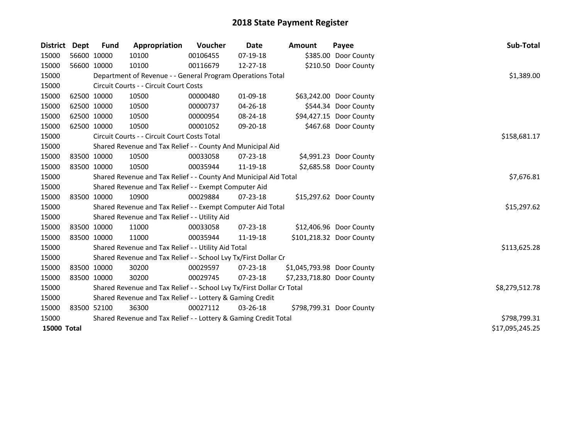| District           | Dept | <b>Fund</b> | Appropriation                                                         | Voucher    | Date           | <b>Amount</b>              | Payee                    | Sub-Total       |
|--------------------|------|-------------|-----------------------------------------------------------------------|------------|----------------|----------------------------|--------------------------|-----------------|
| 15000              |      | 56600 10000 | 10100                                                                 | 00106455   | 07-19-18       |                            | \$385.00 Door County     |                 |
| 15000              |      | 56600 10000 | 10100                                                                 | 00116679   | 12-27-18       |                            | \$210.50 Door County     |                 |
| 15000              |      |             | Department of Revenue - - General Program Operations Total            |            |                |                            |                          | \$1,389.00      |
| 15000              |      |             | Circuit Courts - - Circuit Court Costs                                |            |                |                            |                          |                 |
| 15000              |      | 62500 10000 | 10500                                                                 | 00000480   | 01-09-18       |                            | \$63,242.00 Door County  |                 |
| 15000              |      | 62500 10000 | 10500                                                                 | 00000737   | 04-26-18       |                            | \$544.34 Door County     |                 |
| 15000              |      | 62500 10000 | 10500                                                                 | 00000954   | 08-24-18       |                            | \$94,427.15 Door County  |                 |
| 15000              |      | 62500 10000 | 10500                                                                 | 00001052   | 09-20-18       |                            | \$467.68 Door County     |                 |
| 15000              |      |             | Circuit Courts - - Circuit Court Costs Total                          |            |                |                            |                          | \$158,681.17    |
| 15000              |      |             | Shared Revenue and Tax Relief - - County And Municipal Aid            |            |                |                            |                          |                 |
| 15000              |      | 83500 10000 | 10500                                                                 | 00033058   | 07-23-18       |                            | \$4,991.23 Door County   |                 |
| 15000              |      | 83500 10000 | 10500                                                                 | 00035944   | 11-19-18       |                            | \$2,685.58 Door County   |                 |
| 15000              |      |             | Shared Revenue and Tax Relief - - County And Municipal Aid Total      | \$7,676.81 |                |                            |                          |                 |
| 15000              |      |             | Shared Revenue and Tax Relief - - Exempt Computer Aid                 |            |                |                            |                          |                 |
| 15000              |      | 83500 10000 | 10900                                                                 | 00029884   | $07 - 23 - 18$ |                            | \$15,297.62 Door County  |                 |
| 15000              |      |             | Shared Revenue and Tax Relief - - Exempt Computer Aid Total           |            |                |                            |                          | \$15,297.62     |
| 15000              |      |             | Shared Revenue and Tax Relief - - Utility Aid                         |            |                |                            |                          |                 |
| 15000              |      | 83500 10000 | 11000                                                                 | 00033058   | 07-23-18       |                            | \$12,406.96 Door County  |                 |
| 15000              |      | 83500 10000 | 11000                                                                 | 00035944   | 11-19-18       |                            | \$101,218.32 Door County |                 |
| 15000              |      |             | Shared Revenue and Tax Relief - - Utility Aid Total                   |            |                |                            |                          | \$113,625.28    |
| 15000              |      |             | Shared Revenue and Tax Relief - - School Lvy Tx/First Dollar Cr       |            |                |                            |                          |                 |
| 15000              |      | 83500 10000 | 30200                                                                 | 00029597   | $07 - 23 - 18$ | \$1,045,793.98 Door County |                          |                 |
| 15000              |      | 83500 10000 | 30200                                                                 | 00029745   | $07 - 23 - 18$ | \$7,233,718.80 Door County |                          |                 |
| 15000              |      |             | Shared Revenue and Tax Relief - - School Lvy Tx/First Dollar Cr Total |            |                |                            |                          | \$8,279,512.78  |
| 15000              |      |             | Shared Revenue and Tax Relief - - Lottery & Gaming Credit             |            |                |                            |                          |                 |
| 15000              |      | 83500 52100 | 36300                                                                 | 00027112   | 03-26-18       |                            | \$798,799.31 Door County |                 |
| 15000              |      |             | Shared Revenue and Tax Relief - - Lottery & Gaming Credit Total       |            |                |                            |                          | \$798,799.31    |
| <b>15000 Total</b> |      |             |                                                                       |            |                |                            |                          | \$17,095,245.25 |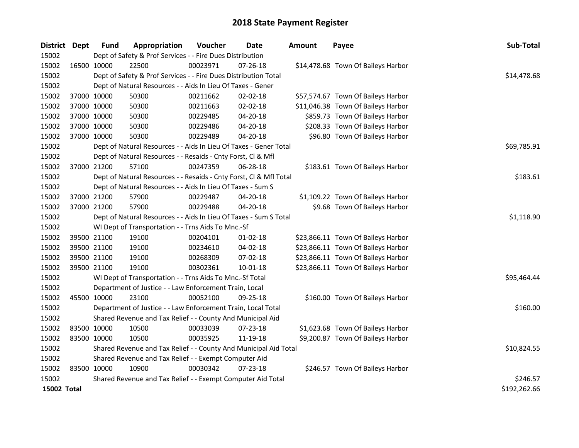| District Dept      |             | <b>Fund</b> | Appropriation                                                      | Voucher    | <b>Date</b>    | <b>Amount</b> | Payee                              | Sub-Total    |
|--------------------|-------------|-------------|--------------------------------------------------------------------|------------|----------------|---------------|------------------------------------|--------------|
| 15002              |             |             | Dept of Safety & Prof Services - - Fire Dues Distribution          |            |                |               |                                    |              |
| 15002              | 16500 10000 |             | 22500                                                              | 00023971   | $07 - 26 - 18$ |               | \$14,478.68 Town Of Baileys Harbor |              |
| 15002              |             |             | Dept of Safety & Prof Services - - Fire Dues Distribution Total    |            |                |               |                                    | \$14,478.68  |
| 15002              |             |             | Dept of Natural Resources - - Aids In Lieu Of Taxes - Gener        |            |                |               |                                    |              |
| 15002              |             | 37000 10000 | 50300                                                              | 00211662   | $02 - 02 - 18$ |               | \$57,574.67 Town Of Baileys Harbor |              |
| 15002              |             | 37000 10000 | 50300                                                              | 00211663   | 02-02-18       |               | \$11,046.38 Town Of Baileys Harbor |              |
| 15002              |             | 37000 10000 | 50300                                                              | 00229485   | 04-20-18       |               | \$859.73 Town Of Baileys Harbor    |              |
| 15002              |             | 37000 10000 | 50300                                                              | 00229486   | 04-20-18       |               | \$208.33 Town Of Baileys Harbor    |              |
| 15002              |             | 37000 10000 | 50300                                                              | 00229489   | $04 - 20 - 18$ |               | \$96.80 Town Of Baileys Harbor     |              |
| 15002              |             |             | Dept of Natural Resources - - Aids In Lieu Of Taxes - Gener Total  |            |                |               |                                    | \$69,785.91  |
| 15002              |             |             | Dept of Natural Resources - - Resaids - Cnty Forst, Cl & Mfl       |            |                |               |                                    |              |
| 15002              |             | 37000 21200 | 57100                                                              | 00247359   | 06-28-18       |               | \$183.61 Town Of Baileys Harbor    |              |
| 15002              |             |             | Dept of Natural Resources - - Resaids - Cnty Forst, Cl & Mfl Total |            |                |               |                                    | \$183.61     |
| 15002              |             |             | Dept of Natural Resources - - Aids In Lieu Of Taxes - Sum S        |            |                |               |                                    |              |
| 15002              |             | 37000 21200 | 57900                                                              | 00229487   | 04-20-18       |               | \$1,109.22 Town Of Baileys Harbor  |              |
| 15002              |             | 37000 21200 | 57900                                                              | 00229488   | 04-20-18       |               | \$9.68 Town Of Baileys Harbor      |              |
| 15002              |             |             | Dept of Natural Resources - - Aids In Lieu Of Taxes - Sum S Total  | \$1,118.90 |                |               |                                    |              |
| 15002              |             |             | WI Dept of Transportation - - Trns Aids To Mnc.-Sf                 |            |                |               |                                    |              |
| 15002              |             | 39500 21100 | 19100                                                              | 00204101   | $01-02-18$     |               | \$23,866.11 Town Of Baileys Harbor |              |
| 15002              |             | 39500 21100 | 19100                                                              | 00234610   | 04-02-18       |               | \$23,866.11 Town Of Baileys Harbor |              |
| 15002              |             | 39500 21100 | 19100                                                              | 00268309   | 07-02-18       |               | \$23,866.11 Town Of Baileys Harbor |              |
| 15002              |             | 39500 21100 | 19100                                                              | 00302361   | $10 - 01 - 18$ |               | \$23,866.11 Town Of Baileys Harbor |              |
| 15002              |             |             | WI Dept of Transportation - - Trns Aids To Mnc.-Sf Total           |            |                |               |                                    | \$95,464.44  |
| 15002              |             |             | Department of Justice - - Law Enforcement Train, Local             |            |                |               |                                    |              |
| 15002              |             | 45500 10000 | 23100                                                              | 00052100   | 09-25-18       |               | \$160.00 Town Of Baileys Harbor    |              |
| 15002              |             |             | Department of Justice - - Law Enforcement Train, Local Total       |            |                |               |                                    | \$160.00     |
| 15002              |             |             | Shared Revenue and Tax Relief - - County And Municipal Aid         |            |                |               |                                    |              |
| 15002              |             | 83500 10000 | 10500                                                              | 00033039   | 07-23-18       |               | \$1,623.68 Town Of Baileys Harbor  |              |
| 15002              |             | 83500 10000 | 10500                                                              | 00035925   | 11-19-18       |               | \$9,200.87 Town Of Baileys Harbor  |              |
| 15002              |             |             | Shared Revenue and Tax Relief - - County And Municipal Aid Total   |            |                |               |                                    | \$10,824.55  |
| 15002              |             |             | Shared Revenue and Tax Relief - - Exempt Computer Aid              |            |                |               |                                    |              |
| 15002              |             | 83500 10000 | 10900                                                              | 00030342   | 07-23-18       |               | \$246.57 Town Of Baileys Harbor    |              |
| 15002              |             |             | Shared Revenue and Tax Relief - - Exempt Computer Aid Total        |            |                |               |                                    | \$246.57     |
| <b>15002 Total</b> |             |             |                                                                    |            |                |               |                                    | \$192,262.66 |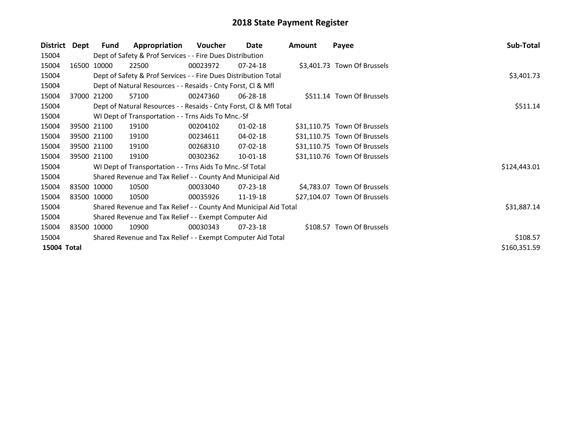| District    | Dept        | <b>Fund</b> | Appropriation                                                      | Voucher  | Date           | Amount | Payee                        | Sub-Total    |
|-------------|-------------|-------------|--------------------------------------------------------------------|----------|----------------|--------|------------------------------|--------------|
| 15004       |             |             | Dept of Safety & Prof Services - - Fire Dues Distribution          |          |                |        |                              |              |
| 15004       |             | 16500 10000 | 22500                                                              | 00023972 | $07 - 24 - 18$ |        | \$3,401.73 Town Of Brussels  |              |
| 15004       |             |             | Dept of Safety & Prof Services - - Fire Dues Distribution Total    |          |                |        |                              | \$3,401.73   |
| 15004       |             |             | Dept of Natural Resources - - Resaids - Cnty Forst, CI & Mfl       |          |                |        |                              |              |
| 15004       |             | 37000 21200 | 57100                                                              | 00247360 | 06-28-18       |        | \$511.14 Town Of Brussels    |              |
| 15004       |             |             | Dept of Natural Resources - - Resaids - Cnty Forst, CI & Mfl Total | \$511.14 |                |        |                              |              |
| 15004       |             |             | WI Dept of Transportation - - Trns Aids To Mnc.-Sf                 |          |                |        |                              |              |
| 15004       |             | 39500 21100 | 19100                                                              | 00204102 | $01 - 02 - 18$ |        | \$31,110.75 Town Of Brussels |              |
| 15004       |             | 39500 21100 | 19100                                                              | 00234611 | 04-02-18       |        | \$31,110.75 Town Of Brussels |              |
| 15004       |             | 39500 21100 | 19100                                                              | 00268310 | 07-02-18       |        | \$31,110.75 Town Of Brussels |              |
| 15004       |             | 39500 21100 | 19100                                                              | 00302362 | $10 - 01 - 18$ |        | \$31,110.76 Town Of Brussels |              |
| 15004       |             |             | WI Dept of Transportation - - Trns Aids To Mnc.-Sf Total           |          |                |        |                              | \$124,443.01 |
| 15004       |             |             | Shared Revenue and Tax Relief - - County And Municipal Aid         |          |                |        |                              |              |
| 15004       |             | 83500 10000 | 10500                                                              | 00033040 | $07 - 23 - 18$ |        | \$4,783.07 Town Of Brussels  |              |
| 15004       | 83500 10000 |             | 10500                                                              | 00035926 | 11-19-18       |        | \$27,104.07 Town Of Brussels |              |
| 15004       |             |             | Shared Revenue and Tax Relief - - County And Municipal Aid Total   |          |                |        |                              | \$31,887.14  |
| 15004       |             |             | Shared Revenue and Tax Relief - - Exempt Computer Aid              |          |                |        |                              |              |
| 15004       |             | 83500 10000 | 10900                                                              | 00030343 | $07 - 23 - 18$ |        | \$108.57 Town Of Brussels    |              |
| 15004       |             |             | Shared Revenue and Tax Relief - - Exempt Computer Aid Total        | \$108.57 |                |        |                              |              |
| 15004 Total |             |             |                                                                    |          |                |        |                              | \$160,351.59 |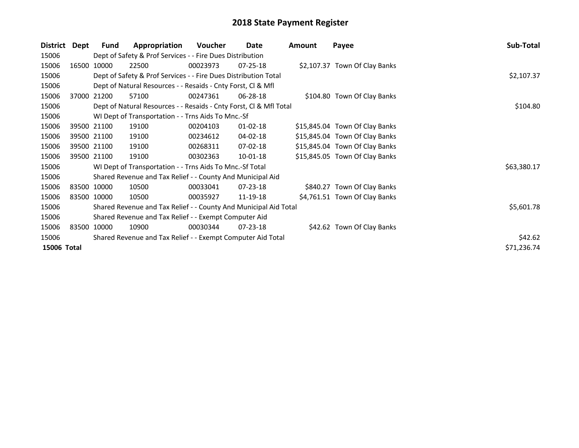| District    | Dept        | <b>Fund</b>                                                 | Appropriation                                                      | Voucher  | Date           | Amount | Payee                          | Sub-Total   |
|-------------|-------------|-------------------------------------------------------------|--------------------------------------------------------------------|----------|----------------|--------|--------------------------------|-------------|
| 15006       |             |                                                             | Dept of Safety & Prof Services - - Fire Dues Distribution          |          |                |        |                                |             |
| 15006       |             | 16500 10000                                                 | 22500                                                              | 00023973 | $07 - 25 - 18$ |        | \$2,107.37 Town Of Clay Banks  |             |
| 15006       |             |                                                             | Dept of Safety & Prof Services - - Fire Dues Distribution Total    |          |                |        |                                | \$2,107.37  |
| 15006       |             |                                                             | Dept of Natural Resources - - Resaids - Cnty Forst, CI & Mfl       |          |                |        |                                |             |
| 15006       |             | 37000 21200                                                 | 57100                                                              | 00247361 | 06-28-18       |        | \$104.80 Town Of Clay Banks    |             |
| 15006       |             |                                                             | Dept of Natural Resources - - Resaids - Cnty Forst, Cl & Mfl Total | \$104.80 |                |        |                                |             |
| 15006       |             |                                                             | WI Dept of Transportation - - Trns Aids To Mnc.-Sf                 |          |                |        |                                |             |
| 15006       |             | 39500 21100                                                 | 19100                                                              | 00204103 | $01 - 02 - 18$ |        | \$15,845.04 Town Of Clay Banks |             |
| 15006       |             | 39500 21100                                                 | 19100                                                              | 00234612 | 04-02-18       |        | \$15,845.04 Town Of Clay Banks |             |
| 15006       |             | 39500 21100                                                 | 19100                                                              | 00268311 | 07-02-18       |        | \$15,845.04 Town Of Clay Banks |             |
| 15006       | 39500 21100 |                                                             | 19100                                                              | 00302363 | $10 - 01 - 18$ |        | \$15,845.05 Town Of Clay Banks |             |
| 15006       |             |                                                             | WI Dept of Transportation - - Trns Aids To Mnc.-Sf Total           |          |                |        |                                | \$63,380.17 |
| 15006       |             |                                                             | Shared Revenue and Tax Relief - - County And Municipal Aid         |          |                |        |                                |             |
| 15006       |             | 83500 10000                                                 | 10500                                                              | 00033041 | $07 - 23 - 18$ |        | \$840.27 Town Of Clay Banks    |             |
| 15006       | 83500 10000 |                                                             | 10500                                                              | 00035927 | 11-19-18       |        | \$4,761.51 Town Of Clay Banks  |             |
| 15006       |             |                                                             | Shared Revenue and Tax Relief - - County And Municipal Aid Total   |          |                |        |                                | \$5,601.78  |
| 15006       |             |                                                             | Shared Revenue and Tax Relief - - Exempt Computer Aid              |          |                |        |                                |             |
| 15006       |             | 83500 10000                                                 | 10900                                                              | 00030344 | 07-23-18       |        | \$42.62 Town Of Clay Banks     |             |
| 15006       |             | Shared Revenue and Tax Relief - - Exempt Computer Aid Total | \$42.62                                                            |          |                |        |                                |             |
| 15006 Total |             |                                                             |                                                                    |          |                |        |                                | \$71,236.74 |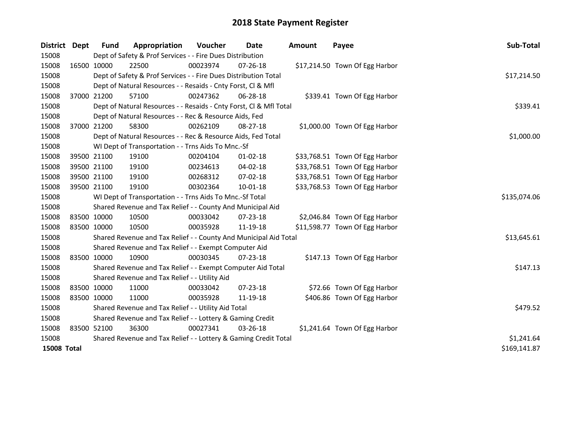| <b>District</b>    | Dept        | <b>Fund</b> | Appropriation                                                      | Voucher      | Date           | Amount | Payee                          | Sub-Total    |
|--------------------|-------------|-------------|--------------------------------------------------------------------|--------------|----------------|--------|--------------------------------|--------------|
| 15008              |             |             | Dept of Safety & Prof Services - - Fire Dues Distribution          |              |                |        |                                |              |
| 15008              |             | 16500 10000 | 22500                                                              | 00023974     | 07-26-18       |        | \$17,214.50 Town Of Egg Harbor |              |
| 15008              |             |             | Dept of Safety & Prof Services - - Fire Dues Distribution Total    |              |                |        |                                | \$17,214.50  |
| 15008              |             |             | Dept of Natural Resources - - Resaids - Cnty Forst, Cl & Mfl       |              |                |        |                                |              |
| 15008              |             | 37000 21200 | 57100                                                              | 00247362     | 06-28-18       |        | \$339.41 Town Of Egg Harbor    |              |
| 15008              |             |             | Dept of Natural Resources - - Resaids - Cnty Forst, CI & Mfl Total | \$339.41     |                |        |                                |              |
| 15008              |             |             | Dept of Natural Resources - - Rec & Resource Aids, Fed             |              |                |        |                                |              |
| 15008              |             | 37000 21200 | 58300                                                              | 00262109     | 08-27-18       |        | \$1,000.00 Town Of Egg Harbor  |              |
| 15008              |             |             | Dept of Natural Resources - - Rec & Resource Aids, Fed Total       |              |                |        |                                | \$1,000.00   |
| 15008              |             |             | WI Dept of Transportation - - Trns Aids To Mnc.-Sf                 |              |                |        |                                |              |
| 15008              |             | 39500 21100 | 19100                                                              | 00204104     | $01 - 02 - 18$ |        | \$33,768.51 Town Of Egg Harbor |              |
| 15008              |             | 39500 21100 | 19100                                                              | 00234613     | $04 - 02 - 18$ |        | \$33,768.51 Town Of Egg Harbor |              |
| 15008              |             | 39500 21100 | 19100                                                              | 00268312     | 07-02-18       |        | \$33,768.51 Town Of Egg Harbor |              |
| 15008              | 39500 21100 |             | 19100                                                              | 00302364     | $10 - 01 - 18$ |        | \$33,768.53 Town Of Egg Harbor |              |
| 15008              |             |             | WI Dept of Transportation - - Trns Aids To Mnc.-Sf Total           | \$135,074.06 |                |        |                                |              |
| 15008              |             |             | Shared Revenue and Tax Relief - - County And Municipal Aid         |              |                |        |                                |              |
| 15008              | 83500 10000 |             | 10500                                                              | 00033042     | 07-23-18       |        | \$2,046.84 Town Of Egg Harbor  |              |
| 15008              | 83500 10000 |             | 10500                                                              | 00035928     | 11-19-18       |        | \$11,598.77 Town Of Egg Harbor |              |
| 15008              |             |             | Shared Revenue and Tax Relief - - County And Municipal Aid Total   |              |                |        |                                | \$13,645.61  |
| 15008              |             |             | Shared Revenue and Tax Relief - - Exempt Computer Aid              |              |                |        |                                |              |
| 15008              |             | 83500 10000 | 10900                                                              | 00030345     | 07-23-18       |        | \$147.13 Town Of Egg Harbor    |              |
| 15008              |             |             | Shared Revenue and Tax Relief - - Exempt Computer Aid Total        |              |                |        |                                | \$147.13     |
| 15008              |             |             | Shared Revenue and Tax Relief - - Utility Aid                      |              |                |        |                                |              |
| 15008              | 83500 10000 |             | 11000                                                              | 00033042     | 07-23-18       |        | \$72.66 Town Of Egg Harbor     |              |
| 15008              | 83500 10000 |             | 11000                                                              | 00035928     | 11-19-18       |        | \$406.86 Town Of Egg Harbor    |              |
| 15008              |             |             | Shared Revenue and Tax Relief - - Utility Aid Total                | \$479.52     |                |        |                                |              |
| 15008              |             |             | Shared Revenue and Tax Relief - - Lottery & Gaming Credit          |              |                |        |                                |              |
| 15008              | 83500 52100 |             | 36300                                                              | 00027341     | 03-26-18       |        | \$1,241.64 Town Of Egg Harbor  |              |
| 15008              |             |             | Shared Revenue and Tax Relief - - Lottery & Gaming Credit Total    |              |                |        |                                | \$1,241.64   |
| <b>15008 Total</b> |             |             |                                                                    |              |                |        |                                | \$169,141.87 |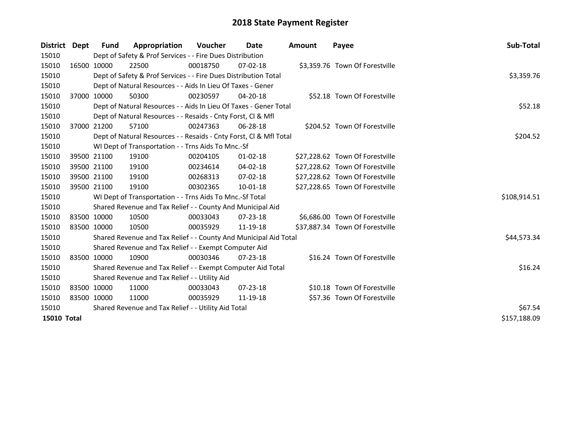| District Dept      |  | <b>Fund</b>                                         | Appropriation                                                      | <b>Voucher</b> | Date           | <b>Amount</b> | Payee                           | <b>Sub-Total</b> |
|--------------------|--|-----------------------------------------------------|--------------------------------------------------------------------|----------------|----------------|---------------|---------------------------------|------------------|
| 15010              |  |                                                     | Dept of Safety & Prof Services - - Fire Dues Distribution          |                |                |               |                                 |                  |
| 15010              |  | 16500 10000                                         | 22500                                                              | 00018750       | $07 - 02 - 18$ |               | \$3,359.76 Town Of Forestville  |                  |
| 15010              |  |                                                     | Dept of Safety & Prof Services - - Fire Dues Distribution Total    |                |                |               |                                 | \$3,359.76       |
| 15010              |  |                                                     | Dept of Natural Resources - - Aids In Lieu Of Taxes - Gener        |                |                |               |                                 |                  |
| 15010              |  | 37000 10000                                         | 50300                                                              | 00230597       | 04-20-18       |               | \$52.18 Town Of Forestville     |                  |
| 15010              |  |                                                     | Dept of Natural Resources - - Aids In Lieu Of Taxes - Gener Total  | \$52.18        |                |               |                                 |                  |
| 15010              |  |                                                     | Dept of Natural Resources - - Resaids - Cnty Forst, CI & Mfl       |                |                |               |                                 |                  |
| 15010              |  | 37000 21200                                         | 57100                                                              | 00247363       | $06 - 28 - 18$ |               | \$204.52 Town Of Forestville    |                  |
| 15010              |  |                                                     | Dept of Natural Resources - - Resaids - Cnty Forst, Cl & Mfl Total |                |                |               |                                 | \$204.52         |
| 15010              |  |                                                     | WI Dept of Transportation - - Trns Aids To Mnc.-Sf                 |                |                |               |                                 |                  |
| 15010              |  | 39500 21100                                         | 19100                                                              | 00204105       | $01 - 02 - 18$ |               | \$27,228.62 Town Of Forestville |                  |
| 15010              |  | 39500 21100                                         | 19100                                                              | 00234614       | 04-02-18       |               | \$27,228.62 Town Of Forestville |                  |
| 15010              |  | 39500 21100                                         | 19100                                                              | 00268313       | $07 - 02 - 18$ |               | \$27,228.62 Town Of Forestville |                  |
| 15010              |  | 39500 21100                                         | 19100                                                              | 00302365       | $10 - 01 - 18$ |               | \$27,228.65 Town Of Forestville |                  |
| 15010              |  |                                                     | WI Dept of Transportation - - Trns Aids To Mnc.-Sf Total           |                |                |               |                                 | \$108,914.51     |
| 15010              |  |                                                     | Shared Revenue and Tax Relief - - County And Municipal Aid         |                |                |               |                                 |                  |
| 15010              |  | 83500 10000                                         | 10500                                                              | 00033043       | $07 - 23 - 18$ |               | \$6,686.00 Town Of Forestville  |                  |
| 15010              |  | 83500 10000                                         | 10500                                                              | 00035929       | 11-19-18       |               | \$37,887.34 Town Of Forestville |                  |
| 15010              |  |                                                     | Shared Revenue and Tax Relief - - County And Municipal Aid Total   |                |                |               |                                 | \$44,573.34      |
| 15010              |  |                                                     | Shared Revenue and Tax Relief - - Exempt Computer Aid              |                |                |               |                                 |                  |
| 15010              |  | 83500 10000                                         | 10900                                                              | 00030346       | $07 - 23 - 18$ |               | \$16.24 Town Of Forestville     |                  |
| 15010              |  |                                                     | Shared Revenue and Tax Relief - - Exempt Computer Aid Total        |                |                |               |                                 | \$16.24          |
| 15010              |  |                                                     | Shared Revenue and Tax Relief - - Utility Aid                      |                |                |               |                                 |                  |
| 15010              |  | 83500 10000                                         | 11000                                                              | 00033043       | $07 - 23 - 18$ |               | \$10.18 Town Of Forestville     |                  |
| 15010              |  | 83500 10000                                         | 11000                                                              | 00035929       | 11-19-18       |               | \$57.36 Town Of Forestville     |                  |
| 15010              |  | Shared Revenue and Tax Relief - - Utility Aid Total | \$67.54                                                            |                |                |               |                                 |                  |
| <b>15010 Total</b> |  |                                                     |                                                                    |                |                |               |                                 | \$157,188.09     |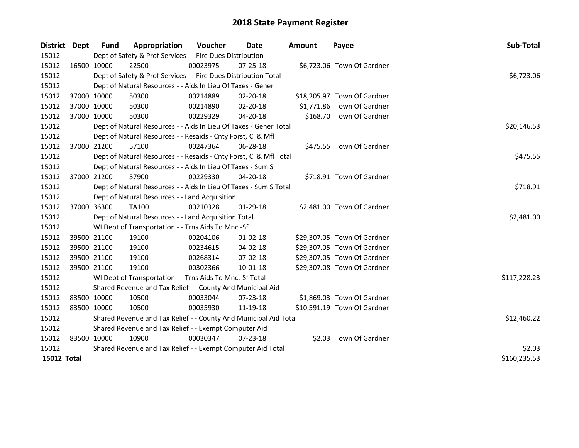| District Dept      |             | <b>Fund</b>                                                 | Appropriation                                                      | Voucher     | Date           | <b>Amount</b> | Payee                       | Sub-Total    |
|--------------------|-------------|-------------------------------------------------------------|--------------------------------------------------------------------|-------------|----------------|---------------|-----------------------------|--------------|
| 15012              |             |                                                             | Dept of Safety & Prof Services - - Fire Dues Distribution          |             |                |               |                             |              |
| 15012              |             | 16500 10000                                                 | 22500                                                              | 00023975    | $07 - 25 - 18$ |               | \$6,723.06 Town Of Gardner  |              |
| 15012              |             |                                                             | Dept of Safety & Prof Services - - Fire Dues Distribution Total    |             |                |               |                             | \$6,723.06   |
| 15012              |             |                                                             | Dept of Natural Resources - - Aids In Lieu Of Taxes - Gener        |             |                |               |                             |              |
| 15012              |             | 37000 10000                                                 | 50300                                                              | 00214889    | 02-20-18       |               | \$18,205.97 Town Of Gardner |              |
| 15012              |             | 37000 10000                                                 | 50300                                                              | 00214890    | $02 - 20 - 18$ |               | \$1,771.86 Town Of Gardner  |              |
| 15012              |             | 37000 10000                                                 | 50300                                                              | 00229329    | 04-20-18       |               | \$168.70 Town Of Gardner    |              |
| 15012              |             |                                                             | Dept of Natural Resources - - Aids In Lieu Of Taxes - Gener Total  |             |                |               |                             | \$20,146.53  |
| 15012              |             |                                                             | Dept of Natural Resources - - Resaids - Cnty Forst, Cl & Mfl       |             |                |               |                             |              |
| 15012              |             | 37000 21200                                                 | 57100                                                              | 00247364    | 06-28-18       |               | \$475.55 Town Of Gardner    |              |
| 15012              |             |                                                             | Dept of Natural Resources - - Resaids - Cnty Forst, CI & Mfl Total |             |                |               |                             | \$475.55     |
| 15012              |             |                                                             | Dept of Natural Resources - - Aids In Lieu Of Taxes - Sum S        |             |                |               |                             |              |
| 15012              |             | 37000 21200                                                 | 57900                                                              | 00229330    | 04-20-18       |               | \$718.91 Town Of Gardner    |              |
| 15012              |             |                                                             | Dept of Natural Resources - - Aids In Lieu Of Taxes - Sum S Total  | \$718.91    |                |               |                             |              |
| 15012              |             |                                                             | Dept of Natural Resources - - Land Acquisition                     |             |                |               |                             |              |
| 15012              |             | 37000 36300                                                 | <b>TA100</b>                                                       | 00210328    | $01-29-18$     |               | \$2,481.00 Town Of Gardner  |              |
| 15012              |             |                                                             | Dept of Natural Resources - - Land Acquisition Total               |             |                |               |                             | \$2,481.00   |
| 15012              |             |                                                             | WI Dept of Transportation - - Trns Aids To Mnc.-Sf                 |             |                |               |                             |              |
| 15012              |             | 39500 21100                                                 | 19100                                                              | 00204106    | $01-02-18$     |               | \$29,307.05 Town Of Gardner |              |
| 15012              |             | 39500 21100                                                 | 19100                                                              | 00234615    | 04-02-18       |               | \$29,307.05 Town Of Gardner |              |
| 15012              |             | 39500 21100                                                 | 19100                                                              | 00268314    | 07-02-18       |               | \$29,307.05 Town Of Gardner |              |
| 15012              |             | 39500 21100                                                 | 19100                                                              | 00302366    | 10-01-18       |               | \$29,307.08 Town Of Gardner |              |
| 15012              |             |                                                             | WI Dept of Transportation - - Trns Aids To Mnc.-Sf Total           |             |                |               |                             | \$117,228.23 |
| 15012              |             |                                                             | Shared Revenue and Tax Relief - - County And Municipal Aid         |             |                |               |                             |              |
| 15012              |             | 83500 10000                                                 | 10500                                                              | 00033044    | $07 - 23 - 18$ |               | \$1,869.03 Town Of Gardner  |              |
| 15012              | 83500 10000 |                                                             | 10500                                                              | 00035930    | 11-19-18       |               | \$10,591.19 Town Of Gardner |              |
| 15012              |             |                                                             | Shared Revenue and Tax Relief - - County And Municipal Aid Total   | \$12,460.22 |                |               |                             |              |
| 15012              |             |                                                             | Shared Revenue and Tax Relief - - Exempt Computer Aid              |             |                |               |                             |              |
| 15012              | 83500 10000 |                                                             | 10900                                                              | 00030347    | $07 - 23 - 18$ |               | \$2.03 Town Of Gardner      |              |
| 15012              |             | Shared Revenue and Tax Relief - - Exempt Computer Aid Total | \$2.03                                                             |             |                |               |                             |              |
| <b>15012 Total</b> |             |                                                             |                                                                    |             |                |               |                             | \$160,235.53 |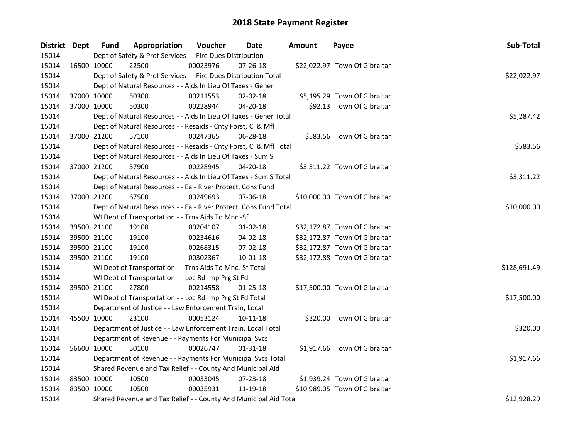| District Dept |             | <b>Fund</b> | Appropriation                                                      | Voucher     | Date           | <b>Amount</b> | Payee                         | Sub-Total    |
|---------------|-------------|-------------|--------------------------------------------------------------------|-------------|----------------|---------------|-------------------------------|--------------|
| 15014         |             |             | Dept of Safety & Prof Services - - Fire Dues Distribution          |             |                |               |                               |              |
| 15014         | 16500 10000 |             | 22500                                                              | 00023976    | 07-26-18       |               | \$22,022.97 Town Of Gibraltar |              |
| 15014         |             |             | Dept of Safety & Prof Services - - Fire Dues Distribution Total    |             |                |               |                               | \$22,022.97  |
| 15014         |             |             | Dept of Natural Resources - - Aids In Lieu Of Taxes - Gener        |             |                |               |                               |              |
| 15014         | 37000 10000 |             | 50300                                                              | 00211553    | $02 - 02 - 18$ |               | \$5,195.29 Town Of Gibraltar  |              |
| 15014         | 37000 10000 |             | 50300                                                              | 00228944    | $04 - 20 - 18$ |               | \$92.13 Town Of Gibraltar     |              |
| 15014         |             |             | Dept of Natural Resources - - Aids In Lieu Of Taxes - Gener Total  |             |                |               |                               | \$5,287.42   |
| 15014         |             |             | Dept of Natural Resources - - Resaids - Cnty Forst, Cl & Mfl       |             |                |               |                               |              |
| 15014         |             | 37000 21200 | 57100                                                              | 00247365    | 06-28-18       |               | \$583.56 Town Of Gibraltar    |              |
| 15014         |             |             | Dept of Natural Resources - - Resaids - Cnty Forst, Cl & Mfl Total |             |                |               |                               | \$583.56     |
| 15014         |             |             | Dept of Natural Resources - - Aids In Lieu Of Taxes - Sum S        |             |                |               |                               |              |
| 15014         |             | 37000 21200 | 57900                                                              | 00228945    | $04 - 20 - 18$ |               | \$3,311.22 Town Of Gibraltar  |              |
| 15014         |             |             | Dept of Natural Resources - - Aids In Lieu Of Taxes - Sum S Total  |             |                |               |                               | \$3,311.22   |
| 15014         |             |             | Dept of Natural Resources - - Ea - River Protect, Cons Fund        |             |                |               |                               |              |
| 15014         | 37000 21200 |             | 67500                                                              | 00249693    | 07-06-18       |               | \$10,000.00 Town Of Gibraltar |              |
| 15014         |             |             | Dept of Natural Resources - - Ea - River Protect, Cons Fund Total  | \$10,000.00 |                |               |                               |              |
| 15014         |             |             | WI Dept of Transportation - - Trns Aids To Mnc.-Sf                 |             |                |               |                               |              |
| 15014         | 39500 21100 |             | 19100                                                              | 00204107    | $01-02-18$     |               | \$32,172.87 Town Of Gibraltar |              |
| 15014         |             | 39500 21100 | 19100                                                              | 00234616    | 04-02-18       |               | \$32,172.87 Town Of Gibraltar |              |
| 15014         | 39500 21100 |             | 19100                                                              | 00268315    | 07-02-18       |               | \$32,172.87 Town Of Gibraltar |              |
| 15014         | 39500 21100 |             | 19100                                                              | 00302367    | $10 - 01 - 18$ |               | \$32,172.88 Town Of Gibraltar |              |
| 15014         |             |             | WI Dept of Transportation - - Trns Aids To Mnc.-Sf Total           |             |                |               |                               | \$128,691.49 |
| 15014         |             |             | WI Dept of Transportation - - Loc Rd Imp Prg St Fd                 |             |                |               |                               |              |
| 15014         | 39500 21100 |             | 27800                                                              | 00214558    | 01-25-18       |               | \$17,500.00 Town Of Gibraltar |              |
| 15014         |             |             | WI Dept of Transportation - - Loc Rd Imp Prg St Fd Total           |             |                |               |                               | \$17,500.00  |
| 15014         |             |             | Department of Justice - - Law Enforcement Train, Local             |             |                |               |                               |              |
| 15014         | 45500 10000 |             | 23100                                                              | 00053124    | 10-11-18       |               | \$320.00 Town Of Gibraltar    |              |
| 15014         |             |             | Department of Justice - - Law Enforcement Train, Local Total       |             |                |               |                               | \$320.00     |
| 15014         |             |             | Department of Revenue - - Payments For Municipal Svcs              |             |                |               |                               |              |
| 15014         | 56600 10000 |             | 50100                                                              | 00026747    | 01-31-18       |               | \$1,917.66 Town Of Gibraltar  |              |
| 15014         |             |             | Department of Revenue - - Payments For Municipal Svcs Total        |             |                |               |                               | \$1,917.66   |
| 15014         |             |             | Shared Revenue and Tax Relief - - County And Municipal Aid         |             |                |               |                               |              |
| 15014         | 83500 10000 |             | 10500                                                              | 00033045    | 07-23-18       |               | \$1,939.24 Town Of Gibraltar  |              |
| 15014         | 83500 10000 |             | 10500                                                              | 00035931    | 11-19-18       |               | \$10,989.05 Town Of Gibraltar |              |
| 15014         |             |             | Shared Revenue and Tax Relief - - County And Municipal Aid Total   |             |                |               |                               | \$12,928.29  |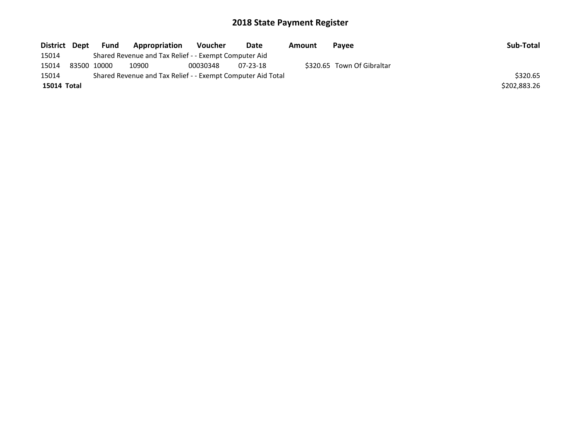| District Dept | Fund        | Appropriation                                               | Voucher  | Date           | Amount | <b>Pavee</b>               | Sub-Total    |
|---------------|-------------|-------------------------------------------------------------|----------|----------------|--------|----------------------------|--------------|
| 15014         |             | Shared Revenue and Tax Relief - - Exempt Computer Aid       |          |                |        |                            |              |
| 15014         | 83500 10000 | 10900                                                       | 00030348 | $07 - 23 - 18$ |        | \$320.65 Town Of Gibraltar |              |
| 15014         |             | Shared Revenue and Tax Relief - - Exempt Computer Aid Total |          |                |        |                            | \$320.65     |
| 15014 Total   |             |                                                             |          |                |        |                            | \$202,883.26 |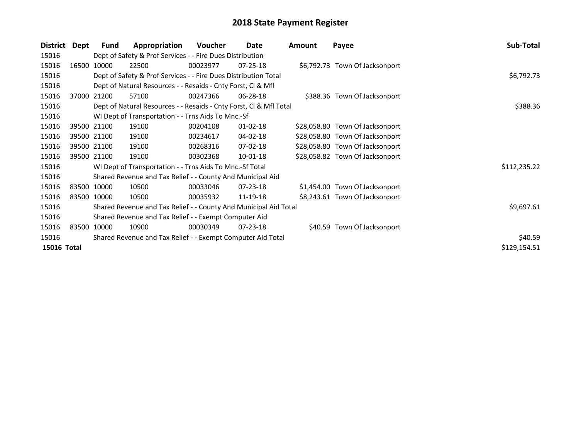| District    | Dept        | <b>Fund</b> | Appropriation                                                      | <b>Voucher</b> | Date           | <b>Amount</b> | Payee                           | Sub-Total    |
|-------------|-------------|-------------|--------------------------------------------------------------------|----------------|----------------|---------------|---------------------------------|--------------|
| 15016       |             |             | Dept of Safety & Prof Services - - Fire Dues Distribution          |                |                |               |                                 |              |
| 15016       |             | 16500 10000 | 22500                                                              | 00023977       | $07 - 25 - 18$ |               | \$6,792.73 Town Of Jacksonport  |              |
| 15016       |             |             | Dept of Safety & Prof Services - - Fire Dues Distribution Total    |                |                |               |                                 | \$6,792.73   |
| 15016       |             |             | Dept of Natural Resources - - Resaids - Cnty Forst, CI & Mfl       |                |                |               |                                 |              |
| 15016       |             | 37000 21200 | 57100                                                              | 00247366       | 06-28-18       |               | \$388.36 Town Of Jacksonport    |              |
| 15016       |             |             | Dept of Natural Resources - - Resaids - Cnty Forst, CI & Mfl Total |                |                |               |                                 | \$388.36     |
| 15016       |             |             | WI Dept of Transportation - - Trns Aids To Mnc.-Sf                 |                |                |               |                                 |              |
| 15016       |             | 39500 21100 | 19100                                                              | 00204108       | $01 - 02 - 18$ |               | \$28,058.80 Town Of Jacksonport |              |
| 15016       |             | 39500 21100 | 19100                                                              | 00234617       | 04-02-18       |               | \$28,058.80 Town Of Jacksonport |              |
| 15016       |             | 39500 21100 | 19100                                                              | 00268316       | 07-02-18       |               | \$28,058.80 Town Of Jacksonport |              |
| 15016       |             | 39500 21100 | 19100                                                              | 00302368       | $10 - 01 - 18$ |               | \$28,058.82 Town Of Jacksonport |              |
| 15016       |             |             | WI Dept of Transportation - - Trns Aids To Mnc.-Sf Total           |                |                |               |                                 | \$112,235.22 |
| 15016       |             |             | Shared Revenue and Tax Relief - - County And Municipal Aid         |                |                |               |                                 |              |
| 15016       | 83500 10000 |             | 10500                                                              | 00033046       | $07 - 23 - 18$ |               | \$1,454.00 Town Of Jacksonport  |              |
| 15016       | 83500 10000 |             | 10500                                                              | 00035932       | 11-19-18       |               | \$8,243.61 Town Of Jacksonport  |              |
| 15016       |             |             | Shared Revenue and Tax Relief - - County And Municipal Aid Total   |                |                |               |                                 | \$9,697.61   |
| 15016       |             |             | Shared Revenue and Tax Relief - - Exempt Computer Aid              |                |                |               |                                 |              |
| 15016       | 83500 10000 |             | 10900                                                              | 00030349       | $07 - 23 - 18$ |               | \$40.59 Town Of Jacksonport     |              |
| 15016       |             |             | Shared Revenue and Tax Relief - - Exempt Computer Aid Total        | \$40.59        |                |               |                                 |              |
| 15016 Total |             |             |                                                                    |                |                |               |                                 | \$129,154.51 |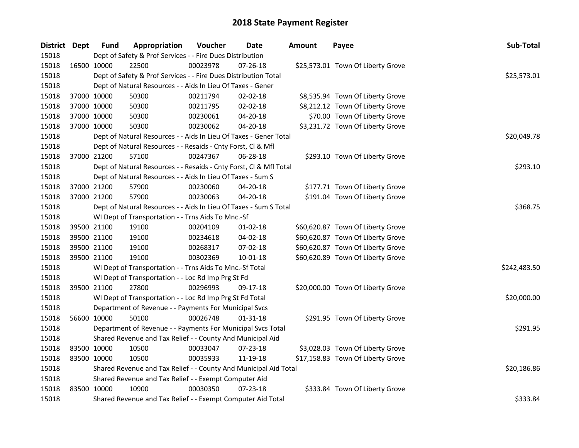| District Dept |             | <b>Fund</b> | Appropriation                                                      | Voucher     | <b>Date</b>    | <b>Amount</b> | Payee                             | Sub-Total    |
|---------------|-------------|-------------|--------------------------------------------------------------------|-------------|----------------|---------------|-----------------------------------|--------------|
| 15018         |             |             | Dept of Safety & Prof Services - - Fire Dues Distribution          |             |                |               |                                   |              |
| 15018         | 16500 10000 |             | 22500                                                              | 00023978    | 07-26-18       |               | \$25,573.01 Town Of Liberty Grove |              |
| 15018         |             |             | Dept of Safety & Prof Services - - Fire Dues Distribution Total    |             |                |               |                                   | \$25,573.01  |
| 15018         |             |             | Dept of Natural Resources - - Aids In Lieu Of Taxes - Gener        |             |                |               |                                   |              |
| 15018         | 37000 10000 |             | 50300                                                              | 00211794    | 02-02-18       |               | \$8,535.94 Town Of Liberty Grove  |              |
| 15018         | 37000 10000 |             | 50300                                                              | 00211795    | 02-02-18       |               | \$8,212.12 Town Of Liberty Grove  |              |
| 15018         | 37000 10000 |             | 50300                                                              | 00230061    | 04-20-18       |               | \$70.00 Town Of Liberty Grove     |              |
| 15018         | 37000 10000 |             | 50300                                                              | 00230062    | 04-20-18       |               | \$3,231.72 Town Of Liberty Grove  |              |
| 15018         |             |             | Dept of Natural Resources - - Aids In Lieu Of Taxes - Gener Total  | \$20,049.78 |                |               |                                   |              |
| 15018         |             |             | Dept of Natural Resources - - Resaids - Cnty Forst, Cl & Mfl       |             |                |               |                                   |              |
| 15018         |             | 37000 21200 | 57100                                                              | 00247367    | 06-28-18       |               | \$293.10 Town Of Liberty Grove    |              |
| 15018         |             |             | Dept of Natural Resources - - Resaids - Cnty Forst, Cl & Mfl Total |             |                |               |                                   | \$293.10     |
| 15018         |             |             | Dept of Natural Resources - - Aids In Lieu Of Taxes - Sum S        |             |                |               |                                   |              |
| 15018         | 37000 21200 |             | 57900                                                              | 00230060    | 04-20-18       |               | \$177.71 Town Of Liberty Grove    |              |
| 15018         | 37000 21200 |             | 57900                                                              | 00230063    | 04-20-18       |               | \$191.04 Town Of Liberty Grove    |              |
| 15018         |             |             | Dept of Natural Resources - - Aids In Lieu Of Taxes - Sum S Total  | \$368.75    |                |               |                                   |              |
| 15018         |             |             | WI Dept of Transportation - - Trns Aids To Mnc.-Sf                 |             |                |               |                                   |              |
| 15018         | 39500 21100 |             | 19100                                                              | 00204109    | $01-02-18$     |               | \$60,620.87 Town Of Liberty Grove |              |
| 15018         | 39500 21100 |             | 19100                                                              | 00234618    | $04 - 02 - 18$ |               | \$60,620.87 Town Of Liberty Grove |              |
| 15018         | 39500 21100 |             | 19100                                                              | 00268317    | 07-02-18       |               | \$60,620.87 Town Of Liberty Grove |              |
| 15018         | 39500 21100 |             | 19100                                                              | 00302369    | $10 - 01 - 18$ |               | \$60,620.89 Town Of Liberty Grove |              |
| 15018         |             |             | WI Dept of Transportation - - Trns Aids To Mnc.-Sf Total           |             |                |               |                                   | \$242,483.50 |
| 15018         |             |             | WI Dept of Transportation - - Loc Rd Imp Prg St Fd                 |             |                |               |                                   |              |
| 15018         | 39500 21100 |             | 27800                                                              | 00296993    | 09-17-18       |               | \$20,000.00 Town Of Liberty Grove |              |
| 15018         |             |             | WI Dept of Transportation - - Loc Rd Imp Prg St Fd Total           |             |                |               |                                   | \$20,000.00  |
| 15018         |             |             | Department of Revenue - - Payments For Municipal Svcs              |             |                |               |                                   |              |
| 15018         | 56600 10000 |             | 50100                                                              | 00026748    | 01-31-18       |               | \$291.95 Town Of Liberty Grove    |              |
| 15018         |             |             | Department of Revenue - - Payments For Municipal Svcs Total        |             |                |               |                                   | \$291.95     |
| 15018         |             |             | Shared Revenue and Tax Relief - - County And Municipal Aid         |             |                |               |                                   |              |
| 15018         | 83500 10000 |             | 10500                                                              | 00033047    | 07-23-18       |               | \$3,028.03 Town Of Liberty Grove  |              |
| 15018         | 83500 10000 |             | 10500                                                              | 00035933    | 11-19-18       |               | \$17,158.83 Town Of Liberty Grove |              |
| 15018         |             |             | Shared Revenue and Tax Relief - - County And Municipal Aid Total   |             |                |               |                                   | \$20,186.86  |
| 15018         |             |             | Shared Revenue and Tax Relief - - Exempt Computer Aid              |             |                |               |                                   |              |
| 15018         | 83500 10000 |             | 10900                                                              | 00030350    | 07-23-18       |               | \$333.84 Town Of Liberty Grove    |              |
| 15018         |             |             | Shared Revenue and Tax Relief - - Exempt Computer Aid Total        |             |                |               |                                   | \$333.84     |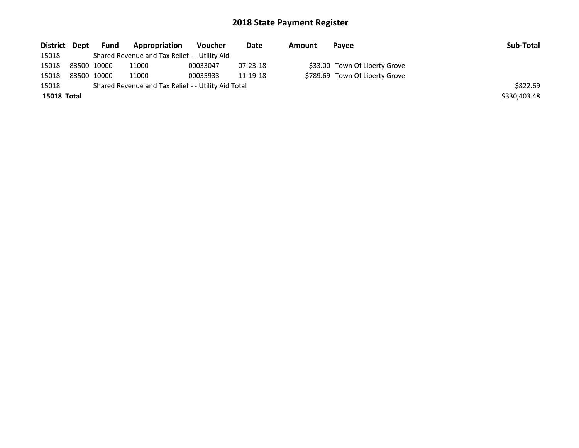| District Dept      | Fund        | <b>Appropriation</b>                                | Voucher  | Date     | Amount | Payee                          | Sub-Total    |
|--------------------|-------------|-----------------------------------------------------|----------|----------|--------|--------------------------------|--------------|
| 15018              |             | Shared Revenue and Tax Relief - - Utility Aid       |          |          |        |                                |              |
| 15018              | 83500 10000 | 11000                                               | 00033047 | 07-23-18 |        | \$33.00 Town Of Liberty Grove  |              |
| 15018              | 83500 10000 | 11000                                               | 00035933 | 11-19-18 |        | \$789.69 Town Of Liberty Grove |              |
| 15018              |             | Shared Revenue and Tax Relief - - Utility Aid Total |          |          |        |                                | \$822.69     |
| <b>15018 Total</b> |             |                                                     |          |          |        |                                | \$330,403.48 |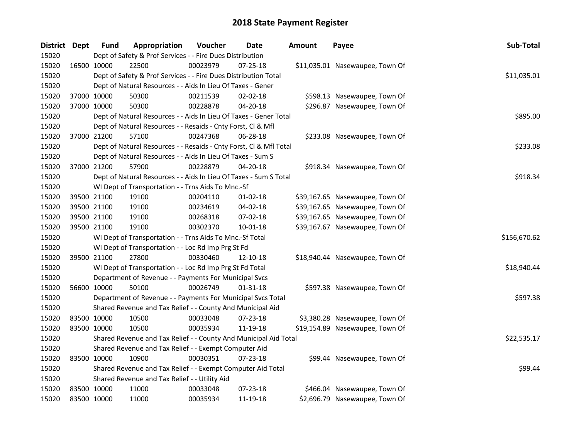| District Dept |             | <b>Fund</b>                                                 | Appropriation                                                      | Voucher  | <b>Date</b>    | <b>Amount</b> | Payee                           | Sub-Total    |  |
|---------------|-------------|-------------------------------------------------------------|--------------------------------------------------------------------|----------|----------------|---------------|---------------------------------|--------------|--|
| 15020         |             |                                                             | Dept of Safety & Prof Services - - Fire Dues Distribution          |          |                |               |                                 |              |  |
| 15020         | 16500 10000 |                                                             | 22500                                                              | 00023979 | $07 - 25 - 18$ |               | \$11,035.01 Nasewaupee, Town Of |              |  |
| 15020         |             |                                                             | Dept of Safety & Prof Services - - Fire Dues Distribution Total    |          |                |               |                                 | \$11,035.01  |  |
| 15020         |             |                                                             | Dept of Natural Resources - - Aids In Lieu Of Taxes - Gener        |          |                |               |                                 |              |  |
| 15020         | 37000 10000 |                                                             | 50300                                                              | 00211539 | $02 - 02 - 18$ |               | \$598.13 Nasewaupee, Town Of    |              |  |
| 15020         | 37000 10000 |                                                             | 50300                                                              | 00228878 | 04-20-18       |               | \$296.87 Nasewaupee, Town Of    |              |  |
| 15020         |             |                                                             | Dept of Natural Resources - - Aids In Lieu Of Taxes - Gener Total  |          |                |               |                                 | \$895.00     |  |
| 15020         |             |                                                             | Dept of Natural Resources - - Resaids - Cnty Forst, Cl & Mfl       |          |                |               |                                 |              |  |
| 15020         | 37000 21200 |                                                             | 57100                                                              | 00247368 | 06-28-18       |               | \$233.08 Nasewaupee, Town Of    |              |  |
| 15020         |             |                                                             | Dept of Natural Resources - - Resaids - Cnty Forst, Cl & Mfl Total |          |                |               |                                 | \$233.08     |  |
| 15020         |             |                                                             | Dept of Natural Resources - - Aids In Lieu Of Taxes - Sum S        |          |                |               |                                 |              |  |
| 15020         | 37000 21200 |                                                             | 57900                                                              | 00228879 | 04-20-18       |               | \$918.34 Nasewaupee, Town Of    |              |  |
| 15020         |             |                                                             | Dept of Natural Resources - - Aids In Lieu Of Taxes - Sum S Total  |          |                |               |                                 | \$918.34     |  |
| 15020         |             |                                                             | WI Dept of Transportation - - Trns Aids To Mnc.-Sf                 |          |                |               |                                 |              |  |
| 15020         | 39500 21100 |                                                             | 19100                                                              | 00204110 | $01-02-18$     |               | \$39,167.65 Nasewaupee, Town Of |              |  |
| 15020         |             | 39500 21100                                                 | 19100                                                              | 00234619 | 04-02-18       |               | \$39,167.65 Nasewaupee, Town Of |              |  |
| 15020         |             | 39500 21100                                                 | 19100                                                              | 00268318 | 07-02-18       |               | \$39,167.65 Nasewaupee, Town Of |              |  |
| 15020         | 39500 21100 |                                                             | 19100                                                              | 00302370 | $10 - 01 - 18$ |               | \$39,167.67 Nasewaupee, Town Of |              |  |
| 15020         |             |                                                             | WI Dept of Transportation - - Trns Aids To Mnc.-Sf Total           |          |                |               |                                 | \$156,670.62 |  |
| 15020         |             |                                                             | WI Dept of Transportation - - Loc Rd Imp Prg St Fd                 |          |                |               |                                 |              |  |
| 15020         | 39500 21100 |                                                             | 27800                                                              | 00330460 | 12-10-18       |               | \$18,940.44 Nasewaupee, Town Of |              |  |
| 15020         |             |                                                             | WI Dept of Transportation - - Loc Rd Imp Prg St Fd Total           |          |                |               |                                 | \$18,940.44  |  |
| 15020         |             |                                                             | Department of Revenue - - Payments For Municipal Svcs              |          |                |               |                                 |              |  |
| 15020         | 56600 10000 |                                                             | 50100                                                              | 00026749 | 01-31-18       |               | \$597.38 Nasewaupee, Town Of    |              |  |
| 15020         |             |                                                             | Department of Revenue - - Payments For Municipal Svcs Total        |          |                |               |                                 | \$597.38     |  |
| 15020         |             |                                                             | Shared Revenue and Tax Relief - - County And Municipal Aid         |          |                |               |                                 |              |  |
| 15020         |             | 83500 10000                                                 | 10500                                                              | 00033048 | 07-23-18       |               | \$3,380.28 Nasewaupee, Town Of  |              |  |
| 15020         | 83500 10000 |                                                             | 10500                                                              | 00035934 | 11-19-18       |               | \$19,154.89 Nasewaupee, Town Of |              |  |
| 15020         |             |                                                             | Shared Revenue and Tax Relief - - County And Municipal Aid Total   |          |                |               |                                 | \$22,535.17  |  |
| 15020         |             |                                                             | Shared Revenue and Tax Relief - - Exempt Computer Aid              |          |                |               |                                 |              |  |
| 15020         | 83500 10000 |                                                             | 10900                                                              | 00030351 | $07 - 23 - 18$ |               | \$99.44 Nasewaupee, Town Of     |              |  |
| 15020         |             | Shared Revenue and Tax Relief - - Exempt Computer Aid Total |                                                                    |          |                |               |                                 |              |  |
| 15020         |             |                                                             | Shared Revenue and Tax Relief - - Utility Aid                      |          |                |               |                                 |              |  |
| 15020         |             | 83500 10000                                                 | 11000                                                              | 00033048 | 07-23-18       |               | \$466.04 Nasewaupee, Town Of    |              |  |
| 15020         | 83500 10000 |                                                             | 11000                                                              | 00035934 | 11-19-18       |               | \$2,696.79 Nasewaupee, Town Of  |              |  |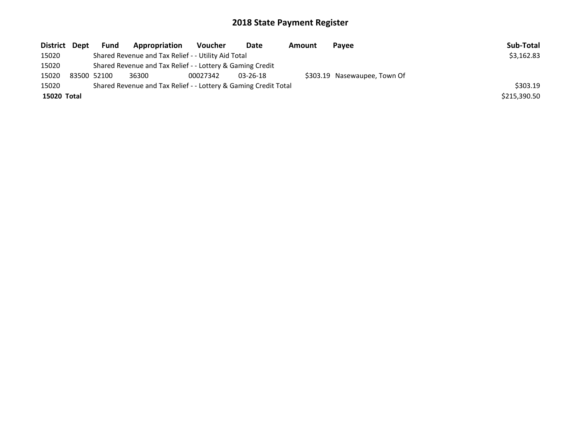| District Dept | <b>Fund</b>                                               | Appropriation                                                   | Voucher  | Date           | Amount | Payee                        | Sub-Total    |
|---------------|-----------------------------------------------------------|-----------------------------------------------------------------|----------|----------------|--------|------------------------------|--------------|
| 15020         |                                                           | Shared Revenue and Tax Relief - - Utility Aid Total             |          |                |        |                              | \$3,162.83   |
| 15020         | Shared Revenue and Tax Relief - - Lottery & Gaming Credit |                                                                 |          |                |        |                              |              |
| 15020         | 83500 52100                                               | 36300                                                           | 00027342 | $03 - 26 - 18$ |        | \$303.19 Nasewaupee, Town Of |              |
| 15020         |                                                           | Shared Revenue and Tax Relief - - Lottery & Gaming Credit Total |          |                |        |                              | \$303.19     |
| 15020 Total   |                                                           |                                                                 |          |                |        |                              | \$215,390.50 |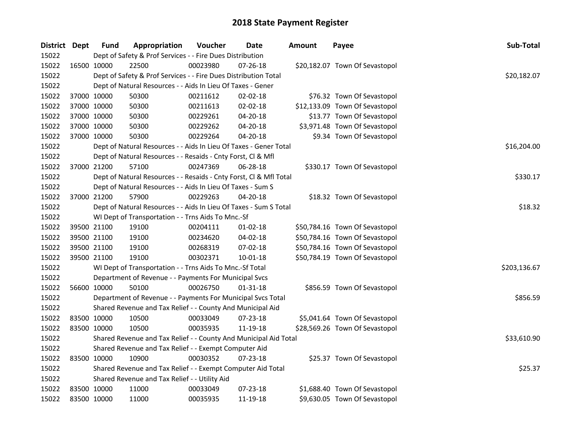| District Dept |             | <b>Fund</b> | Appropriation                                                      | Voucher     | <b>Date</b>    | <b>Amount</b> | Payee                          | Sub-Total    |  |  |  |
|---------------|-------------|-------------|--------------------------------------------------------------------|-------------|----------------|---------------|--------------------------------|--------------|--|--|--|
| 15022         |             |             | Dept of Safety & Prof Services - - Fire Dues Distribution          |             |                |               |                                |              |  |  |  |
| 15022         | 16500 10000 |             | 22500                                                              | 00023980    | 07-26-18       |               | \$20,182.07 Town Of Sevastopol |              |  |  |  |
| 15022         |             |             | Dept of Safety & Prof Services - - Fire Dues Distribution Total    |             |                |               |                                | \$20,182.07  |  |  |  |
| 15022         |             |             | Dept of Natural Resources - - Aids In Lieu Of Taxes - Gener        |             |                |               |                                |              |  |  |  |
| 15022         | 37000 10000 |             | 50300                                                              | 00211612    | 02-02-18       |               | \$76.32 Town Of Sevastopol     |              |  |  |  |
| 15022         | 37000 10000 |             | 50300                                                              | 00211613    | 02-02-18       |               | \$12,133.09 Town Of Sevastopol |              |  |  |  |
| 15022         | 37000 10000 |             | 50300                                                              | 00229261    | 04-20-18       |               | \$13.77 Town Of Sevastopol     |              |  |  |  |
| 15022         | 37000 10000 |             | 50300                                                              | 00229262    | 04-20-18       |               | \$3,971.48 Town Of Sevastopol  |              |  |  |  |
| 15022         | 37000 10000 |             | 50300                                                              | 00229264    | 04-20-18       |               | \$9.34 Town Of Sevastopol      |              |  |  |  |
| 15022         |             |             | Dept of Natural Resources - - Aids In Lieu Of Taxes - Gener Total  | \$16,204.00 |                |               |                                |              |  |  |  |
| 15022         |             |             | Dept of Natural Resources - - Resaids - Cnty Forst, Cl & Mfl       |             |                |               |                                |              |  |  |  |
| 15022         | 37000 21200 |             | 57100                                                              | 00247369    | 06-28-18       |               | \$330.17 Town Of Sevastopol    |              |  |  |  |
| 15022         |             |             | Dept of Natural Resources - - Resaids - Cnty Forst, Cl & Mfl Total |             |                |               |                                | \$330.17     |  |  |  |
| 15022         |             |             | Dept of Natural Resources - - Aids In Lieu Of Taxes - Sum S        |             |                |               |                                |              |  |  |  |
| 15022         | 37000 21200 |             | 57900                                                              | 00229263    | 04-20-18       |               | \$18.32 Town Of Sevastopol     |              |  |  |  |
| 15022         |             |             | Dept of Natural Resources - - Aids In Lieu Of Taxes - Sum S Total  |             |                |               |                                |              |  |  |  |
| 15022         |             |             | WI Dept of Transportation - - Trns Aids To Mnc.-Sf                 |             |                |               |                                |              |  |  |  |
| 15022         | 39500 21100 |             | 19100                                                              | 00204111    | $01 - 02 - 18$ |               | \$50,784.16 Town Of Sevastopol |              |  |  |  |
| 15022         | 39500 21100 |             | 19100                                                              | 00234620    | 04-02-18       |               | \$50,784.16 Town Of Sevastopol |              |  |  |  |
| 15022         | 39500 21100 |             | 19100                                                              | 00268319    | 07-02-18       |               | \$50,784.16 Town Of Sevastopol |              |  |  |  |
| 15022         | 39500 21100 |             | 19100                                                              | 00302371    | 10-01-18       |               | \$50,784.19 Town Of Sevastopol |              |  |  |  |
| 15022         |             |             | WI Dept of Transportation - - Trns Aids To Mnc.-Sf Total           |             |                |               |                                | \$203,136.67 |  |  |  |
| 15022         |             |             | Department of Revenue - - Payments For Municipal Svcs              |             |                |               |                                |              |  |  |  |
| 15022         | 56600 10000 |             | 50100                                                              | 00026750    | $01 - 31 - 18$ |               | \$856.59 Town Of Sevastopol    |              |  |  |  |
| 15022         |             |             | Department of Revenue - - Payments For Municipal Svcs Total        |             |                |               |                                | \$856.59     |  |  |  |
| 15022         |             |             | Shared Revenue and Tax Relief - - County And Municipal Aid         |             |                |               |                                |              |  |  |  |
| 15022         | 83500 10000 |             | 10500                                                              | 00033049    | 07-23-18       |               | \$5,041.64 Town Of Sevastopol  |              |  |  |  |
| 15022         | 83500 10000 |             | 10500                                                              | 00035935    | 11-19-18       |               | \$28,569.26 Town Of Sevastopol |              |  |  |  |
| 15022         |             |             | Shared Revenue and Tax Relief - - County And Municipal Aid Total   |             |                |               |                                | \$33,610.90  |  |  |  |
| 15022         |             |             | Shared Revenue and Tax Relief - - Exempt Computer Aid              |             |                |               |                                |              |  |  |  |
| 15022         | 83500 10000 |             | 10900                                                              | 00030352    | 07-23-18       |               | \$25.37 Town Of Sevastopol     |              |  |  |  |
| 15022         |             |             | Shared Revenue and Tax Relief - - Exempt Computer Aid Total        |             |                |               |                                | \$25.37      |  |  |  |
| 15022         |             |             | Shared Revenue and Tax Relief - - Utility Aid                      |             |                |               |                                |              |  |  |  |
| 15022         | 83500 10000 |             | 11000                                                              | 00033049    | 07-23-18       |               | \$1,688.40 Town Of Sevastopol  |              |  |  |  |
| 15022         | 83500 10000 |             | 11000                                                              | 00035935    | 11-19-18       |               | \$9,630.05 Town Of Sevastopol  |              |  |  |  |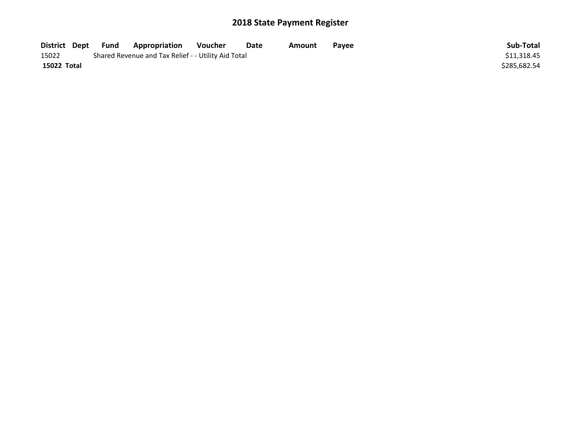| District Dept | Fund | <b>Appropriation</b>                                | Voucher | Date | Amount | Payee | Sub-Total    |
|---------------|------|-----------------------------------------------------|---------|------|--------|-------|--------------|
| 15022         |      | Shared Revenue and Tax Relief - - Utility Aid Total |         |      |        |       | \$11,318.45  |
| 15022 Total   |      |                                                     |         |      |        |       | \$285.682.54 |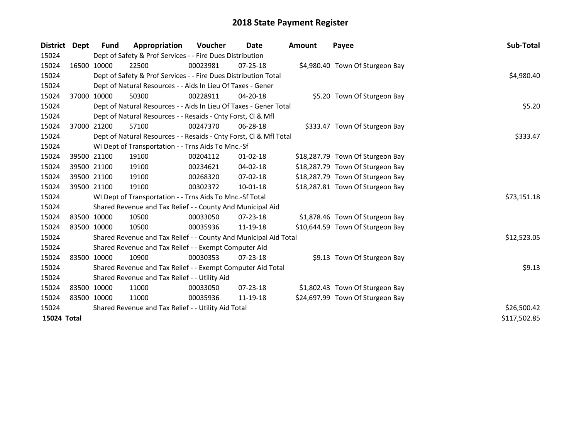| <b>District</b> | Dept | <b>Fund</b> | Appropriation                                                      | <b>Voucher</b> | Date           | <b>Amount</b> | Payee                            | <b>Sub-Total</b> |
|-----------------|------|-------------|--------------------------------------------------------------------|----------------|----------------|---------------|----------------------------------|------------------|
| 15024           |      |             | Dept of Safety & Prof Services - - Fire Dues Distribution          |                |                |               |                                  |                  |
| 15024           |      | 16500 10000 | 22500                                                              | 00023981       | $07 - 25 - 18$ |               | \$4,980.40 Town Of Sturgeon Bay  |                  |
| 15024           |      |             | Dept of Safety & Prof Services - - Fire Dues Distribution Total    |                |                |               |                                  | \$4,980.40       |
| 15024           |      |             | Dept of Natural Resources - - Aids In Lieu Of Taxes - Gener        |                |                |               |                                  |                  |
| 15024           |      | 37000 10000 | 50300                                                              | 00228911       | 04-20-18       |               | \$5.20 Town Of Sturgeon Bay      |                  |
| 15024           |      |             | Dept of Natural Resources - - Aids In Lieu Of Taxes - Gener Total  | \$5.20         |                |               |                                  |                  |
| 15024           |      |             | Dept of Natural Resources - - Resaids - Cnty Forst, CI & Mfl       |                |                |               |                                  |                  |
| 15024           |      | 37000 21200 | 57100                                                              | 00247370       | 06-28-18       |               | \$333.47 Town Of Sturgeon Bay    |                  |
| 15024           |      |             | Dept of Natural Resources - - Resaids - Cnty Forst, Cl & Mfl Total |                |                |               |                                  | \$333.47         |
| 15024           |      |             | WI Dept of Transportation - - Trns Aids To Mnc.-Sf                 |                |                |               |                                  |                  |
| 15024           |      | 39500 21100 | 19100                                                              | 00204112       | $01 - 02 - 18$ |               | \$18,287.79 Town Of Sturgeon Bay |                  |
| 15024           |      | 39500 21100 | 19100                                                              | 00234621       | 04-02-18       |               | \$18,287.79 Town Of Sturgeon Bay |                  |
| 15024           |      | 39500 21100 | 19100                                                              | 00268320       | $07 - 02 - 18$ |               | \$18,287.79 Town Of Sturgeon Bay |                  |
| 15024           |      | 39500 21100 | 19100                                                              | 00302372       | 10-01-18       |               | \$18,287.81 Town Of Sturgeon Bay |                  |
| 15024           |      |             | WI Dept of Transportation - - Trns Aids To Mnc.-Sf Total           |                |                |               |                                  | \$73,151.18      |
| 15024           |      |             | Shared Revenue and Tax Relief - - County And Municipal Aid         |                |                |               |                                  |                  |
| 15024           |      | 83500 10000 | 10500                                                              | 00033050       | $07 - 23 - 18$ |               | \$1,878.46 Town Of Sturgeon Bay  |                  |
| 15024           |      | 83500 10000 | 10500                                                              | 00035936       | 11-19-18       |               | \$10,644.59 Town Of Sturgeon Bay |                  |
| 15024           |      |             | Shared Revenue and Tax Relief - - County And Municipal Aid Total   |                |                |               |                                  | \$12,523.05      |
| 15024           |      |             | Shared Revenue and Tax Relief - - Exempt Computer Aid              |                |                |               |                                  |                  |
| 15024           |      | 83500 10000 | 10900                                                              | 00030353       | 07-23-18       |               | \$9.13 Town Of Sturgeon Bay      |                  |
| 15024           |      |             | Shared Revenue and Tax Relief - - Exempt Computer Aid Total        |                |                |               |                                  | \$9.13           |
| 15024           |      |             | Shared Revenue and Tax Relief - - Utility Aid                      |                |                |               |                                  |                  |
| 15024           |      | 83500 10000 | 11000                                                              | 00033050       | $07 - 23 - 18$ |               | \$1,802.43 Town Of Sturgeon Bay  |                  |
| 15024           |      | 83500 10000 | 11000                                                              | 00035936       | 11-19-18       |               | \$24,697.99 Town Of Sturgeon Bay |                  |
| 15024           |      |             | Shared Revenue and Tax Relief - - Utility Aid Total                |                |                |               |                                  | \$26,500.42      |
| 15024 Total     |      |             |                                                                    |                |                |               |                                  | \$117,502.85     |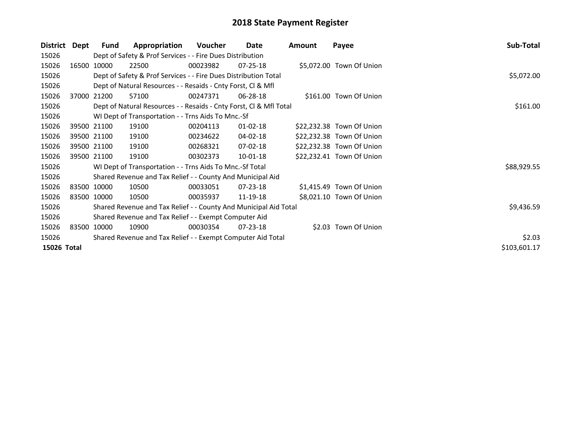| District    | Dept        | <b>Fund</b>                                                 | Appropriation                                                      | Voucher  | Date           | Amount | Payee                     | Sub-Total    |
|-------------|-------------|-------------------------------------------------------------|--------------------------------------------------------------------|----------|----------------|--------|---------------------------|--------------|
| 15026       |             |                                                             | Dept of Safety & Prof Services - - Fire Dues Distribution          |          |                |        |                           |              |
| 15026       |             | 16500 10000                                                 | 22500                                                              | 00023982 | $07 - 25 - 18$ |        | \$5,072.00 Town Of Union  |              |
| 15026       |             |                                                             | Dept of Safety & Prof Services - - Fire Dues Distribution Total    |          |                |        |                           | \$5,072.00   |
| 15026       |             |                                                             | Dept of Natural Resources - - Resaids - Cnty Forst, Cl & Mfl       |          |                |        |                           |              |
| 15026       |             | 37000 21200                                                 | 57100                                                              | 00247371 | 06-28-18       |        | \$161.00 Town Of Union    |              |
| 15026       |             |                                                             | Dept of Natural Resources - - Resaids - Cnty Forst, Cl & Mfl Total |          |                |        |                           | \$161.00     |
| 15026       |             |                                                             | WI Dept of Transportation - - Trns Aids To Mnc.-Sf                 |          |                |        |                           |              |
| 15026       |             | 39500 21100                                                 | 19100                                                              | 00204113 | $01 - 02 - 18$ |        | \$22,232.38 Town Of Union |              |
| 15026       |             | 39500 21100                                                 | 19100                                                              | 00234622 | 04-02-18       |        | \$22,232.38 Town Of Union |              |
| 15026       |             | 39500 21100                                                 | 19100                                                              | 00268321 | 07-02-18       |        | \$22,232.38 Town Of Union |              |
| 15026       | 39500 21100 |                                                             | 19100                                                              | 00302373 | $10 - 01 - 18$ |        | \$22,232.41 Town Of Union |              |
| 15026       |             |                                                             | WI Dept of Transportation - - Trns Aids To Mnc.-Sf Total           |          |                |        |                           | \$88,929.55  |
| 15026       |             |                                                             | Shared Revenue and Tax Relief - - County And Municipal Aid         |          |                |        |                           |              |
| 15026       |             | 83500 10000                                                 | 10500                                                              | 00033051 | 07-23-18       |        | \$1,415.49 Town Of Union  |              |
| 15026       | 83500 10000 |                                                             | 10500                                                              | 00035937 | 11-19-18       |        | \$8,021.10 Town Of Union  |              |
| 15026       |             |                                                             | Shared Revenue and Tax Relief - - County And Municipal Aid Total   |          |                |        |                           | \$9,436.59   |
| 15026       |             |                                                             | Shared Revenue and Tax Relief - - Exempt Computer Aid              |          |                |        |                           |              |
| 15026       |             | 83500 10000                                                 | 10900                                                              | 00030354 | 07-23-18       |        | \$2.03 Town Of Union      |              |
| 15026       |             | Shared Revenue and Tax Relief - - Exempt Computer Aid Total | \$2.03                                                             |          |                |        |                           |              |
| 15026 Total |             |                                                             |                                                                    |          |                |        |                           | \$103,601.17 |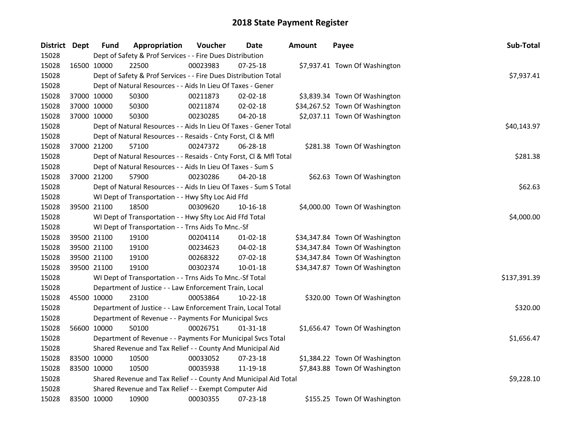| District Dept |             | <b>Fund</b> | Appropriation                                                      | Voucher  | <b>Date</b>    | <b>Amount</b> | Payee                          | Sub-Total    |
|---------------|-------------|-------------|--------------------------------------------------------------------|----------|----------------|---------------|--------------------------------|--------------|
| 15028         |             |             | Dept of Safety & Prof Services - - Fire Dues Distribution          |          |                |               |                                |              |
| 15028         | 16500 10000 |             | 22500                                                              | 00023983 | 07-25-18       |               | \$7,937.41 Town Of Washington  |              |
| 15028         |             |             | Dept of Safety & Prof Services - - Fire Dues Distribution Total    |          |                |               |                                | \$7,937.41   |
| 15028         |             |             | Dept of Natural Resources - - Aids In Lieu Of Taxes - Gener        |          |                |               |                                |              |
| 15028         | 37000 10000 |             | 50300                                                              | 00211873 | 02-02-18       |               | \$3,839.34 Town Of Washington  |              |
| 15028         | 37000 10000 |             | 50300                                                              | 00211874 | 02-02-18       |               | \$34,267.52 Town Of Washington |              |
| 15028         | 37000 10000 |             | 50300                                                              | 00230285 | 04-20-18       |               | \$2,037.11 Town Of Washington  |              |
| 15028         |             |             | Dept of Natural Resources - - Aids In Lieu Of Taxes - Gener Total  |          |                |               |                                | \$40,143.97  |
| 15028         |             |             | Dept of Natural Resources - - Resaids - Cnty Forst, Cl & Mfl       |          |                |               |                                |              |
| 15028         |             | 37000 21200 | 57100                                                              | 00247372 | 06-28-18       |               | \$281.38 Town Of Washington    |              |
| 15028         |             |             | Dept of Natural Resources - - Resaids - Cnty Forst, Cl & Mfl Total |          |                |               |                                | \$281.38     |
| 15028         |             |             | Dept of Natural Resources - - Aids In Lieu Of Taxes - Sum S        |          |                |               |                                |              |
| 15028         | 37000 21200 |             | 57900                                                              | 00230286 | 04-20-18       |               | \$62.63 Town Of Washington     |              |
| 15028         |             |             | Dept of Natural Resources - - Aids In Lieu Of Taxes - Sum S Total  |          |                |               |                                | \$62.63      |
| 15028         |             |             | WI Dept of Transportation - - Hwy Sfty Loc Aid Ffd                 |          |                |               |                                |              |
| 15028         | 39500 21100 |             | 18500                                                              | 00309620 | 10-16-18       |               | \$4,000.00 Town Of Washington  |              |
| 15028         |             |             | WI Dept of Transportation - - Hwy Sfty Loc Aid Ffd Total           |          |                |               |                                | \$4,000.00   |
| 15028         |             |             | WI Dept of Transportation - - Trns Aids To Mnc.-Sf                 |          |                |               |                                |              |
| 15028         | 39500 21100 |             | 19100                                                              | 00204114 | $01-02-18$     |               | \$34,347.84 Town Of Washington |              |
| 15028         | 39500 21100 |             | 19100                                                              | 00234623 | 04-02-18       |               | \$34,347.84 Town Of Washington |              |
| 15028         | 39500 21100 |             | 19100                                                              | 00268322 | 07-02-18       |               | \$34,347.84 Town Of Washington |              |
| 15028         | 39500 21100 |             | 19100                                                              | 00302374 | $10 - 01 - 18$ |               | \$34,347.87 Town Of Washington |              |
| 15028         |             |             | WI Dept of Transportation - - Trns Aids To Mnc.-Sf Total           |          |                |               |                                | \$137,391.39 |
| 15028         |             |             | Department of Justice - - Law Enforcement Train, Local             |          |                |               |                                |              |
| 15028         | 45500 10000 |             | 23100                                                              | 00053864 | 10-22-18       |               | \$320.00 Town Of Washington    |              |
| 15028         |             |             | Department of Justice - - Law Enforcement Train, Local Total       |          |                |               |                                | \$320.00     |
| 15028         |             |             | Department of Revenue - - Payments For Municipal Svcs              |          |                |               |                                |              |
| 15028         | 56600 10000 |             | 50100                                                              | 00026751 | 01-31-18       |               | \$1,656.47 Town Of Washington  |              |
| 15028         |             |             | Department of Revenue - - Payments For Municipal Svcs Total        |          |                |               |                                | \$1,656.47   |
| 15028         |             |             | Shared Revenue and Tax Relief - - County And Municipal Aid         |          |                |               |                                |              |
| 15028         | 83500 10000 |             | 10500                                                              | 00033052 | 07-23-18       |               | \$1,384.22 Town Of Washington  |              |
| 15028         | 83500 10000 |             | 10500                                                              | 00035938 | 11-19-18       |               | \$7,843.88 Town Of Washington  |              |
| 15028         |             |             | Shared Revenue and Tax Relief - - County And Municipal Aid Total   |          |                |               |                                | \$9,228.10   |
| 15028         |             |             | Shared Revenue and Tax Relief - - Exempt Computer Aid              |          |                |               |                                |              |
| 15028         |             | 83500 10000 | 10900                                                              | 00030355 | 07-23-18       |               | \$155.25 Town Of Washington    |              |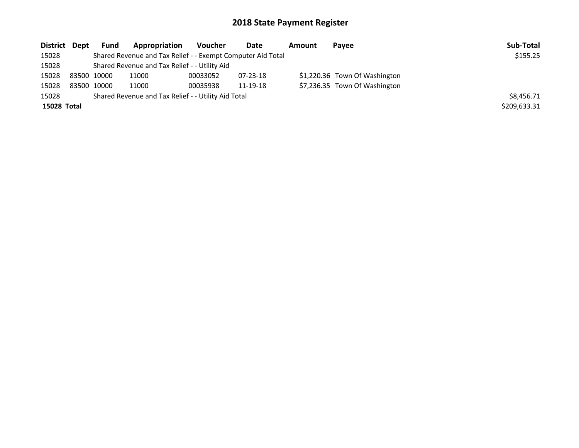| District Dept | <b>Fund</b> | Appropriation                                               | Voucher  | Date           | Amount | Pavee                         | Sub-Total    |
|---------------|-------------|-------------------------------------------------------------|----------|----------------|--------|-------------------------------|--------------|
| 15028         |             | Shared Revenue and Tax Relief - - Exempt Computer Aid Total |          |                |        |                               | \$155.25     |
| 15028         |             | Shared Revenue and Tax Relief - - Utility Aid               |          |                |        |                               |              |
| 15028         | 83500 10000 | 11000                                                       | 00033052 | $07 - 23 - 18$ |        | \$1,220.36 Town Of Washington |              |
| 15028         | 83500 10000 | 11000                                                       | 00035938 | 11-19-18       |        | \$7,236.35 Town Of Washington |              |
| 15028         |             | Shared Revenue and Tax Relief - - Utility Aid Total         |          |                |        |                               | \$8,456.71   |
| 15028 Total   |             |                                                             |          |                |        |                               | \$209,633.31 |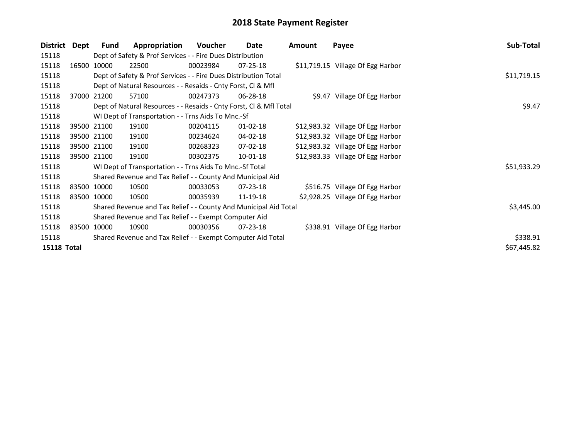| Dept | <b>Fund</b>                    | Appropriation                                                                                                                       | Voucher  | Date           | <b>Amount</b>                                                                                                                                                                                                                                                                                                                                                                                                                                                                                        | Payee                                                                                                                                  | Sub-Total                                                                                                                                                                                                                                                                                                                     |
|------|--------------------------------|-------------------------------------------------------------------------------------------------------------------------------------|----------|----------------|------------------------------------------------------------------------------------------------------------------------------------------------------------------------------------------------------------------------------------------------------------------------------------------------------------------------------------------------------------------------------------------------------------------------------------------------------------------------------------------------------|----------------------------------------------------------------------------------------------------------------------------------------|-------------------------------------------------------------------------------------------------------------------------------------------------------------------------------------------------------------------------------------------------------------------------------------------------------------------------------|
|      |                                |                                                                                                                                     |          |                |                                                                                                                                                                                                                                                                                                                                                                                                                                                                                                      |                                                                                                                                        |                                                                                                                                                                                                                                                                                                                               |
|      |                                | 22500                                                                                                                               | 00023984 | $07 - 25 - 18$ |                                                                                                                                                                                                                                                                                                                                                                                                                                                                                                      |                                                                                                                                        |                                                                                                                                                                                                                                                                                                                               |
|      |                                |                                                                                                                                     |          |                |                                                                                                                                                                                                                                                                                                                                                                                                                                                                                                      |                                                                                                                                        | \$11,719.15                                                                                                                                                                                                                                                                                                                   |
|      |                                |                                                                                                                                     |          |                |                                                                                                                                                                                                                                                                                                                                                                                                                                                                                                      |                                                                                                                                        |                                                                                                                                                                                                                                                                                                                               |
|      |                                | 57100                                                                                                                               | 00247373 | 06-28-18       |                                                                                                                                                                                                                                                                                                                                                                                                                                                                                                      |                                                                                                                                        |                                                                                                                                                                                                                                                                                                                               |
|      |                                |                                                                                                                                     | \$9.47   |                |                                                                                                                                                                                                                                                                                                                                                                                                                                                                                                      |                                                                                                                                        |                                                                                                                                                                                                                                                                                                                               |
|      |                                |                                                                                                                                     |          |                |                                                                                                                                                                                                                                                                                                                                                                                                                                                                                                      |                                                                                                                                        |                                                                                                                                                                                                                                                                                                                               |
|      |                                | 19100                                                                                                                               | 00204115 | $01 - 02 - 18$ |                                                                                                                                                                                                                                                                                                                                                                                                                                                                                                      |                                                                                                                                        |                                                                                                                                                                                                                                                                                                                               |
|      |                                | 19100                                                                                                                               | 00234624 | 04-02-18       |                                                                                                                                                                                                                                                                                                                                                                                                                                                                                                      |                                                                                                                                        |                                                                                                                                                                                                                                                                                                                               |
|      |                                | 19100                                                                                                                               | 00268323 | 07-02-18       |                                                                                                                                                                                                                                                                                                                                                                                                                                                                                                      |                                                                                                                                        |                                                                                                                                                                                                                                                                                                                               |
|      |                                | 19100                                                                                                                               | 00302375 | 10-01-18       |                                                                                                                                                                                                                                                                                                                                                                                                                                                                                                      |                                                                                                                                        |                                                                                                                                                                                                                                                                                                                               |
|      |                                |                                                                                                                                     |          |                |                                                                                                                                                                                                                                                                                                                                                                                                                                                                                                      |                                                                                                                                        | \$51,933.29                                                                                                                                                                                                                                                                                                                   |
|      |                                |                                                                                                                                     |          |                |                                                                                                                                                                                                                                                                                                                                                                                                                                                                                                      |                                                                                                                                        |                                                                                                                                                                                                                                                                                                                               |
|      |                                | 10500                                                                                                                               | 00033053 | 07-23-18       |                                                                                                                                                                                                                                                                                                                                                                                                                                                                                                      |                                                                                                                                        |                                                                                                                                                                                                                                                                                                                               |
|      |                                | 10500                                                                                                                               | 00035939 | 11-19-18       |                                                                                                                                                                                                                                                                                                                                                                                                                                                                                                      |                                                                                                                                        |                                                                                                                                                                                                                                                                                                                               |
|      |                                |                                                                                                                                     |          |                |                                                                                                                                                                                                                                                                                                                                                                                                                                                                                                      |                                                                                                                                        | \$3,445.00                                                                                                                                                                                                                                                                                                                    |
|      |                                |                                                                                                                                     |          |                |                                                                                                                                                                                                                                                                                                                                                                                                                                                                                                      |                                                                                                                                        |                                                                                                                                                                                                                                                                                                                               |
|      |                                | 10900                                                                                                                               | 00030356 | $07 - 23 - 18$ |                                                                                                                                                                                                                                                                                                                                                                                                                                                                                                      |                                                                                                                                        |                                                                                                                                                                                                                                                                                                                               |
|      |                                | \$338.91                                                                                                                            |          |                |                                                                                                                                                                                                                                                                                                                                                                                                                                                                                                      |                                                                                                                                        |                                                                                                                                                                                                                                                                                                                               |
|      |                                |                                                                                                                                     |          |                |                                                                                                                                                                                                                                                                                                                                                                                                                                                                                                      |                                                                                                                                        | \$67,445.82                                                                                                                                                                                                                                                                                                                   |
|      | District<br><b>15118 Total</b> | 16500 10000<br>37000 21200<br>39500 21100<br>39500 21100<br>39500 21100<br>39500 21100<br>83500 10000<br>83500 10000<br>83500 10000 |          |                | Dept of Safety & Prof Services - - Fire Dues Distribution<br>Dept of Safety & Prof Services - - Fire Dues Distribution Total<br>Dept of Natural Resources - - Resaids - Cnty Forst, CI & Mfl<br>WI Dept of Transportation - - Trns Aids To Mnc.-Sf<br>WI Dept of Transportation - - Trns Aids To Mnc.-Sf Total<br>Shared Revenue and Tax Relief - - County And Municipal Aid<br>Shared Revenue and Tax Relief - - Exempt Computer Aid<br>Shared Revenue and Tax Relief - - Exempt Computer Aid Total | Dept of Natural Resources - - Resaids - Cnty Forst, CI & Mfl Total<br>Shared Revenue and Tax Relief - - County And Municipal Aid Total | \$11,719.15 Village Of Egg Harbor<br>\$9.47 Village Of Egg Harbor<br>\$12,983.32 Village Of Egg Harbor<br>\$12,983.32 Village Of Egg Harbor<br>\$12,983.32 Village Of Egg Harbor<br>\$12,983.33 Village Of Egg Harbor<br>\$516.75 Village Of Egg Harbor<br>\$2,928.25 Village Of Egg Harbor<br>\$338.91 Village Of Egg Harbor |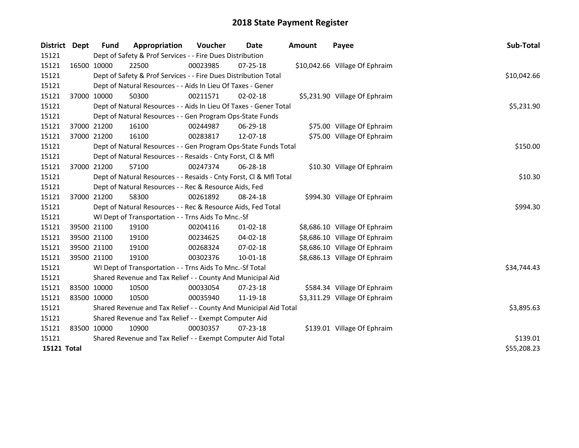| District    | Dept        | <b>Fund</b> | Appropriation                                                      | <b>Voucher</b> | Date           | <b>Amount</b> | Payee                          | Sub-Total   |
|-------------|-------------|-------------|--------------------------------------------------------------------|----------------|----------------|---------------|--------------------------------|-------------|
| 15121       |             |             | Dept of Safety & Prof Services - - Fire Dues Distribution          |                |                |               |                                |             |
| 15121       | 16500 10000 |             | 22500                                                              | 00023985       | 07-25-18       |               | \$10,042.66 Village Of Ephraim |             |
| 15121       |             |             | Dept of Safety & Prof Services - - Fire Dues Distribution Total    |                |                |               |                                | \$10,042.66 |
| 15121       |             |             | Dept of Natural Resources - - Aids In Lieu Of Taxes - Gener        |                |                |               |                                |             |
| 15121       |             | 37000 10000 | 50300                                                              | 00211571       | $02 - 02 - 18$ |               | \$5,231.90 Village Of Ephraim  |             |
| 15121       |             |             | Dept of Natural Resources - - Aids In Lieu Of Taxes - Gener Total  |                |                |               |                                | \$5,231.90  |
| 15121       |             |             | Dept of Natural Resources - - Gen Program Ops-State Funds          |                |                |               |                                |             |
| 15121       |             | 37000 21200 | 16100                                                              | 00244987       | 06-29-18       |               | \$75.00 Village Of Ephraim     |             |
| 15121       | 37000 21200 |             | 16100                                                              | 00283817       | 12-07-18       |               | \$75.00 Village Of Ephraim     |             |
| 15121       |             |             | Dept of Natural Resources - - Gen Program Ops-State Funds Total    | \$150.00       |                |               |                                |             |
| 15121       |             |             | Dept of Natural Resources - - Resaids - Cnty Forst, Cl & Mfl       |                |                |               |                                |             |
| 15121       |             | 37000 21200 | 57100                                                              | 00247374       | 06-28-18       |               | \$10.30 Village Of Ephraim     |             |
| 15121       |             |             | Dept of Natural Resources - - Resaids - Cnty Forst, Cl & Mfl Total |                |                |               |                                | \$10.30     |
| 15121       |             |             | Dept of Natural Resources - - Rec & Resource Aids, Fed             |                |                |               |                                |             |
| 15121       | 37000 21200 |             | 58300                                                              | 00261892       | $08 - 24 - 18$ |               | \$994.30 Village Of Ephraim    |             |
| 15121       |             |             | Dept of Natural Resources - - Rec & Resource Aids, Fed Total       |                |                |               |                                | \$994.30    |
| 15121       |             |             | WI Dept of Transportation - - Trns Aids To Mnc.-Sf                 |                |                |               |                                |             |
| 15121       |             | 39500 21100 | 19100                                                              | 00204116       | $01 - 02 - 18$ |               | \$8,686.10 Village Of Ephraim  |             |
| 15121       |             | 39500 21100 | 19100                                                              | 00234625       | 04-02-18       |               | \$8,686.10 Village Of Ephraim  |             |
| 15121       |             | 39500 21100 | 19100                                                              | 00268324       | 07-02-18       |               | \$8,686.10 Village Of Ephraim  |             |
| 15121       | 39500 21100 |             | 19100                                                              | 00302376       | 10-01-18       |               | \$8,686.13 Village Of Ephraim  |             |
| 15121       |             |             | WI Dept of Transportation - - Trns Aids To Mnc.-Sf Total           |                |                |               |                                | \$34,744.43 |
| 15121       |             |             | Shared Revenue and Tax Relief - - County And Municipal Aid         |                |                |               |                                |             |
| 15121       |             | 83500 10000 | 10500                                                              | 00033054       | 07-23-18       |               | \$584.34 Village Of Ephraim    |             |
| 15121       | 83500 10000 |             | 10500                                                              | 00035940       | 11-19-18       |               | \$3,311.29 Village Of Ephraim  |             |
| 15121       |             |             | Shared Revenue and Tax Relief - - County And Municipal Aid Total   | \$3,895.63     |                |               |                                |             |
| 15121       |             |             | Shared Revenue and Tax Relief - - Exempt Computer Aid              |                |                |               |                                |             |
| 15121       |             | 83500 10000 | 10900                                                              | 00030357       | $07 - 23 - 18$ |               | \$139.01 Village Of Ephraim    |             |
| 15121       |             |             | Shared Revenue and Tax Relief - - Exempt Computer Aid Total        | \$139.01       |                |               |                                |             |
| 15121 Total |             |             |                                                                    |                |                |               |                                | \$55,208.23 |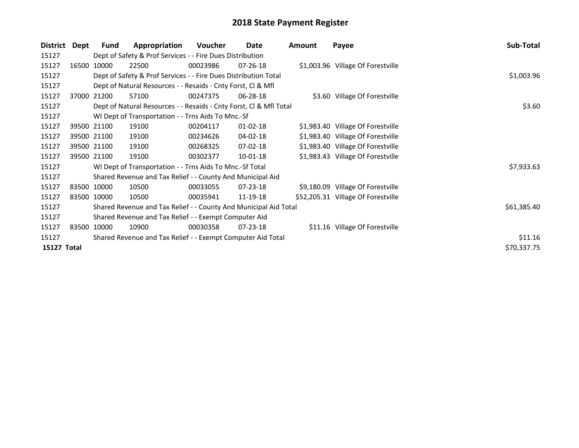| District    | Dept | Fund                                                        | Appropriation                                                      | <b>Voucher</b> | Date           | Amount | Payee                              | Sub-Total   |  |
|-------------|------|-------------------------------------------------------------|--------------------------------------------------------------------|----------------|----------------|--------|------------------------------------|-------------|--|
| 15127       |      |                                                             | Dept of Safety & Prof Services - - Fire Dues Distribution          |                |                |        |                                    |             |  |
| 15127       |      | 16500 10000                                                 | 22500                                                              | 00023986       | $07 - 26 - 18$ |        | \$1,003.96 Village Of Forestville  |             |  |
| 15127       |      |                                                             | Dept of Safety & Prof Services - - Fire Dues Distribution Total    |                |                |        |                                    | \$1,003.96  |  |
| 15127       |      |                                                             | Dept of Natural Resources - - Resaids - Cnty Forst, Cl & Mfl       |                |                |        |                                    |             |  |
| 15127       |      | 37000 21200                                                 | 57100                                                              | 00247375       | $06 - 28 - 18$ |        | \$3.60 Village Of Forestville      |             |  |
| 15127       |      |                                                             | Dept of Natural Resources - - Resaids - Cnty Forst, CI & Mfl Total |                |                |        |                                    | \$3.60      |  |
| 15127       |      |                                                             | WI Dept of Transportation - - Trns Aids To Mnc.-Sf                 |                |                |        |                                    |             |  |
| 15127       |      | 39500 21100                                                 | 19100                                                              | 00204117       | $01 - 02 - 18$ |        | \$1,983.40 Village Of Forestville  |             |  |
| 15127       |      | 39500 21100                                                 | 19100                                                              | 00234626       | 04-02-18       |        | \$1,983.40 Village Of Forestville  |             |  |
| 15127       |      | 39500 21100                                                 | 19100                                                              | 00268325       | 07-02-18       |        | \$1,983.40 Village Of Forestville  |             |  |
| 15127       |      | 39500 21100                                                 | 19100                                                              | 00302377       | 10-01-18       |        | \$1,983.43 Village Of Forestville  |             |  |
| 15127       |      |                                                             | WI Dept of Transportation - - Trns Aids To Mnc.-Sf Total           |                |                |        |                                    | \$7,933.63  |  |
| 15127       |      |                                                             | Shared Revenue and Tax Relief - - County And Municipal Aid         |                |                |        |                                    |             |  |
| 15127       |      | 83500 10000                                                 | 10500                                                              | 00033055       | 07-23-18       |        | \$9,180.09 Village Of Forestville  |             |  |
| 15127       |      | 83500 10000                                                 | 10500                                                              | 00035941       | 11-19-18       |        | \$52,205.31 Village Of Forestville |             |  |
| 15127       |      |                                                             | Shared Revenue and Tax Relief - - County And Municipal Aid Total   |                |                |        |                                    | \$61,385.40 |  |
| 15127       |      |                                                             | Shared Revenue and Tax Relief - - Exempt Computer Aid              |                |                |        |                                    |             |  |
| 15127       |      | 83500 10000                                                 | 10900                                                              | 00030358       | $07 - 23 - 18$ |        | \$11.16 Village Of Forestville     |             |  |
| 15127       |      | Shared Revenue and Tax Relief - - Exempt Computer Aid Total |                                                                    |                |                |        |                                    |             |  |
| 15127 Total |      |                                                             |                                                                    |                |                |        |                                    | \$70,337.75 |  |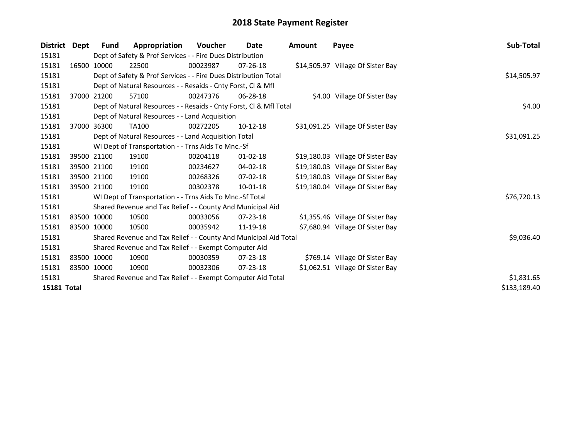| <b>District</b> | Dept        | <b>Fund</b>                                                      | Appropriation                                                      | <b>Voucher</b> | Date           | <b>Amount</b> | Payee                             | Sub-Total    |  |  |
|-----------------|-------------|------------------------------------------------------------------|--------------------------------------------------------------------|----------------|----------------|---------------|-----------------------------------|--------------|--|--|
| 15181           |             | Dept of Safety & Prof Services - - Fire Dues Distribution        |                                                                    |                |                |               |                                   |              |  |  |
| 15181           |             | 16500 10000                                                      | 22500                                                              | 00023987       | $07 - 26 - 18$ |               | \$14,505.97 Village Of Sister Bay |              |  |  |
| 15181           |             |                                                                  | Dept of Safety & Prof Services - - Fire Dues Distribution Total    |                |                |               |                                   | \$14,505.97  |  |  |
| 15181           |             |                                                                  | Dept of Natural Resources - - Resaids - Cnty Forst, CI & Mfl       |                |                |               |                                   |              |  |  |
| 15181           |             | 37000 21200                                                      | 57100                                                              | 00247376       | 06-28-18       |               | \$4.00 Village Of Sister Bay      |              |  |  |
| 15181           |             |                                                                  | Dept of Natural Resources - - Resaids - Cnty Forst, Cl & Mfl Total |                |                |               |                                   | \$4.00       |  |  |
| 15181           |             |                                                                  | Dept of Natural Resources - - Land Acquisition                     |                |                |               |                                   |              |  |  |
| 15181           |             | 37000 36300                                                      | <b>TA100</b>                                                       | 00272205       | $10-12-18$     |               | \$31,091.25 Village Of Sister Bay |              |  |  |
| 15181           |             |                                                                  | Dept of Natural Resources - - Land Acquisition Total               |                |                |               |                                   | \$31,091.25  |  |  |
| 15181           |             |                                                                  | WI Dept of Transportation - - Trns Aids To Mnc.-Sf                 |                |                |               |                                   |              |  |  |
| 15181           |             | 39500 21100                                                      | 19100                                                              | 00204118       | $01 - 02 - 18$ |               | \$19,180.03 Village Of Sister Bay |              |  |  |
| 15181           |             | 39500 21100                                                      | 19100                                                              | 00234627       | $04 - 02 - 18$ |               | \$19,180.03 Village Of Sister Bay |              |  |  |
| 15181           |             | 39500 21100                                                      | 19100                                                              | 00268326       | $07 - 02 - 18$ |               | \$19,180.03 Village Of Sister Bay |              |  |  |
| 15181           |             | 39500 21100                                                      | 19100                                                              | 00302378       | 10-01-18       |               | \$19,180.04 Village Of Sister Bay |              |  |  |
| 15181           |             |                                                                  | WI Dept of Transportation - - Trns Aids To Mnc.-Sf Total           | \$76,720.13    |                |               |                                   |              |  |  |
| 15181           |             |                                                                  | Shared Revenue and Tax Relief - - County And Municipal Aid         |                |                |               |                                   |              |  |  |
| 15181           |             | 83500 10000                                                      | 10500                                                              | 00033056       | $07 - 23 - 18$ |               | \$1,355.46 Village Of Sister Bay  |              |  |  |
| 15181           | 83500 10000 |                                                                  | 10500                                                              | 00035942       | 11-19-18       |               | \$7,680.94 Village Of Sister Bay  |              |  |  |
| 15181           |             | Shared Revenue and Tax Relief - - County And Municipal Aid Total | \$9,036.40                                                         |                |                |               |                                   |              |  |  |
| 15181           |             |                                                                  | Shared Revenue and Tax Relief - - Exempt Computer Aid              |                |                |               |                                   |              |  |  |
| 15181           |             | 83500 10000                                                      | 10900                                                              | 00030359       | 07-23-18       |               | \$769.14 Village Of Sister Bay    |              |  |  |
| 15181           | 83500 10000 |                                                                  | 10900                                                              | 00032306       | 07-23-18       |               | \$1,062.51 Village Of Sister Bay  |              |  |  |
| 15181           |             |                                                                  | Shared Revenue and Tax Relief - - Exempt Computer Aid Total        |                |                |               |                                   | \$1,831.65   |  |  |
| 15181 Total     |             |                                                                  |                                                                    |                |                |               |                                   | \$133,189.40 |  |  |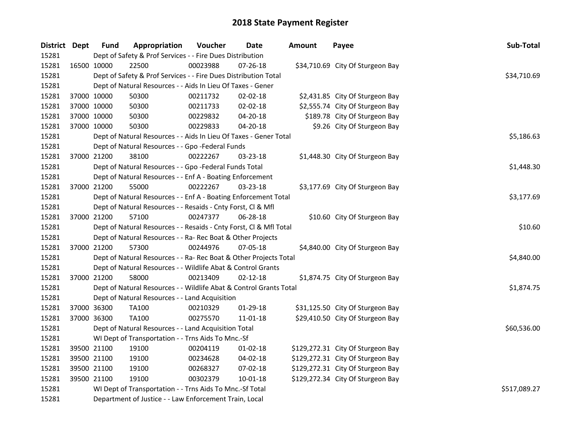| District Dept |             | <b>Fund</b>                                                        | Appropriation                                                     | Voucher      | <b>Date</b>    | <b>Amount</b> | Payee                             | Sub-Total  |
|---------------|-------------|--------------------------------------------------------------------|-------------------------------------------------------------------|--------------|----------------|---------------|-----------------------------------|------------|
| 15281         |             | Dept of Safety & Prof Services - - Fire Dues Distribution          |                                                                   |              |                |               |                                   |            |
| 15281         | 16500 10000 |                                                                    | 22500                                                             | 00023988     | 07-26-18       |               | \$34,710.69 City Of Sturgeon Bay  |            |
| 15281         |             | Dept of Safety & Prof Services - - Fire Dues Distribution Total    |                                                                   | \$34,710.69  |                |               |                                   |            |
| 15281         |             | Dept of Natural Resources - - Aids In Lieu Of Taxes - Gener        |                                                                   |              |                |               |                                   |            |
| 15281         |             | 37000 10000                                                        | 50300                                                             | 00211732     | 02-02-18       |               | \$2,431.85 City Of Sturgeon Bay   |            |
| 15281         |             | 37000 10000                                                        | 50300                                                             | 00211733     | 02-02-18       |               | \$2,555.74 City Of Sturgeon Bay   |            |
| 15281         |             | 37000 10000                                                        | 50300                                                             | 00229832     | 04-20-18       |               | \$189.78 City Of Sturgeon Bay     |            |
| 15281         | 37000 10000 |                                                                    | 50300                                                             | 00229833     | 04-20-18       |               | \$9.26 City Of Sturgeon Bay       |            |
| 15281         |             |                                                                    | Dept of Natural Resources - - Aids In Lieu Of Taxes - Gener Total |              |                |               |                                   | \$5,186.63 |
| 15281         |             |                                                                    | Dept of Natural Resources - - Gpo -Federal Funds                  |              |                |               |                                   |            |
| 15281         | 37000 21200 |                                                                    | 38100                                                             | 00222267     | 03-23-18       |               | \$1,448.30 City Of Sturgeon Bay   |            |
| 15281         |             |                                                                    | Dept of Natural Resources - - Gpo -Federal Funds Total            |              |                |               |                                   | \$1,448.30 |
| 15281         |             |                                                                    | Dept of Natural Resources - - Enf A - Boating Enforcement         |              |                |               |                                   |            |
| 15281         |             | 37000 21200                                                        | 55000                                                             | 00222267     | $03 - 23 - 18$ |               | \$3,177.69 City Of Sturgeon Bay   |            |
| 15281         |             |                                                                    | Dept of Natural Resources - - Enf A - Boating Enforcement Total   |              |                |               |                                   | \$3,177.69 |
| 15281         |             | Dept of Natural Resources - - Resaids - Cnty Forst, Cl & Mfl       |                                                                   |              |                |               |                                   |            |
| 15281         |             | 37000 21200                                                        | 57100                                                             | 00247377     | 06-28-18       |               | \$10.60 City Of Sturgeon Bay      |            |
| 15281         |             | Dept of Natural Resources - - Resaids - Cnty Forst, Cl & Mfl Total |                                                                   | \$10.60      |                |               |                                   |            |
| 15281         |             |                                                                    | Dept of Natural Resources - - Ra- Rec Boat & Other Projects       |              |                |               |                                   |            |
| 15281         |             | 37000 21200                                                        | 57300                                                             | 00244976     | 07-05-18       |               | \$4,840.00 City Of Sturgeon Bay   |            |
| 15281         |             | Dept of Natural Resources - - Ra- Rec Boat & Other Projects Total  |                                                                   | \$4,840.00   |                |               |                                   |            |
| 15281         |             | Dept of Natural Resources - - Wildlife Abat & Control Grants       |                                                                   |              |                |               |                                   |            |
| 15281         | 37000 21200 |                                                                    | 58000                                                             | 00213409     | $02 - 12 - 18$ |               | \$1,874.75 City Of Sturgeon Bay   |            |
| 15281         |             | Dept of Natural Resources - - Wildlife Abat & Control Grants Total |                                                                   | \$1,874.75   |                |               |                                   |            |
| 15281         |             | Dept of Natural Resources - - Land Acquisition                     |                                                                   |              |                |               |                                   |            |
| 15281         | 37000 36300 |                                                                    | <b>TA100</b>                                                      | 00210329     | 01-29-18       |               | \$31,125.50 City Of Sturgeon Bay  |            |
| 15281         | 37000 36300 |                                                                    | <b>TA100</b>                                                      | 00275570     | 11-01-18       |               | \$29,410.50 City Of Sturgeon Bay  |            |
| 15281         |             | Dept of Natural Resources - - Land Acquisition Total               |                                                                   | \$60,536.00  |                |               |                                   |            |
| 15281         |             | WI Dept of Transportation - - Trns Aids To Mnc.-Sf                 |                                                                   |              |                |               |                                   |            |
| 15281         |             | 39500 21100                                                        | 19100                                                             | 00204119     | $01-02-18$     |               | \$129,272.31 City Of Sturgeon Bay |            |
| 15281         |             | 39500 21100                                                        | 19100                                                             | 00234628     | 04-02-18       |               | \$129,272.31 City Of Sturgeon Bay |            |
| 15281         | 39500 21100 |                                                                    | 19100                                                             | 00268327     | 07-02-18       |               | \$129,272.31 City Of Sturgeon Bay |            |
| 15281         | 39500 21100 |                                                                    | 19100                                                             | 00302379     | 10-01-18       |               | \$129,272.34 City Of Sturgeon Bay |            |
| 15281         |             | WI Dept of Transportation - - Trns Aids To Mnc.-Sf Total           |                                                                   | \$517,089.27 |                |               |                                   |            |
| 15281         |             | Department of Justice - - Law Enforcement Train, Local             |                                                                   |              |                |               |                                   |            |